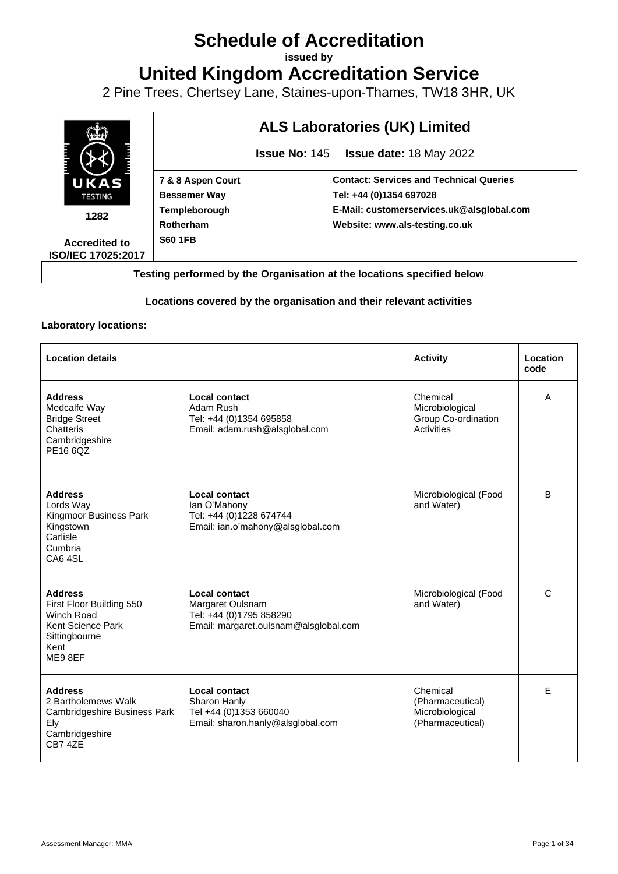# **Schedule of Accreditation**

**issued by**

**United Kingdom Accreditation Service**

2 Pine Trees, Chertsey Lane, Staines-upon-Thames, TW18 3HR, UK



## **Locations covered by the organisation and their relevant activities**

### **Laboratory locations:**

| <b>Location details</b>                                                                                           |                                                                                                       | <b>Activity</b>                                                     | Location<br>code |
|-------------------------------------------------------------------------------------------------------------------|-------------------------------------------------------------------------------------------------------|---------------------------------------------------------------------|------------------|
| <b>Address</b><br>Medcalfe Way<br><b>Bridge Street</b><br>Chatteris<br>Cambridgeshire<br>PE16 6QZ                 | Local contact<br>Adam Rush<br>Tel: +44 (0)1354 695858<br>Email: adam.rush@alsglobal.com               | Chemical<br>Microbiological<br>Group Co-ordination<br>Activities    | A                |
| <b>Address</b><br>Lords Way<br>Kingmoor Business Park<br>Kingstown<br>Carlisle<br>Cumbria<br>CA64SL               | Local contact<br>lan O'Mahony<br>Tel: +44 (0)1228 674744<br>Email: ian.o'mahony@alsglobal.com         | Microbiological (Food<br>and Water)                                 | в                |
| <b>Address</b><br>First Floor Building 550<br>Winch Road<br>Kent Science Park<br>Sittingbourne<br>Kent<br>ME9 8EF | Local contact<br>Margaret Oulsnam<br>Tel: +44 (0)1795 858290<br>Email: margaret.oulsnam@alsglobal.com | Microbiological (Food<br>and Water)                                 | C                |
| <b>Address</b><br>2 Bartholemews Walk<br>Cambridgeshire Business Park<br>Ely<br>Cambridgeshire<br><b>CB7 47F</b>  | Local contact<br>Sharon Hanly<br>Tel +44 (0)1353 660040<br>Email: sharon.hanly@alsglobal.com          | Chemical<br>(Pharmaceutical)<br>Microbiological<br>(Pharmaceutical) | E                |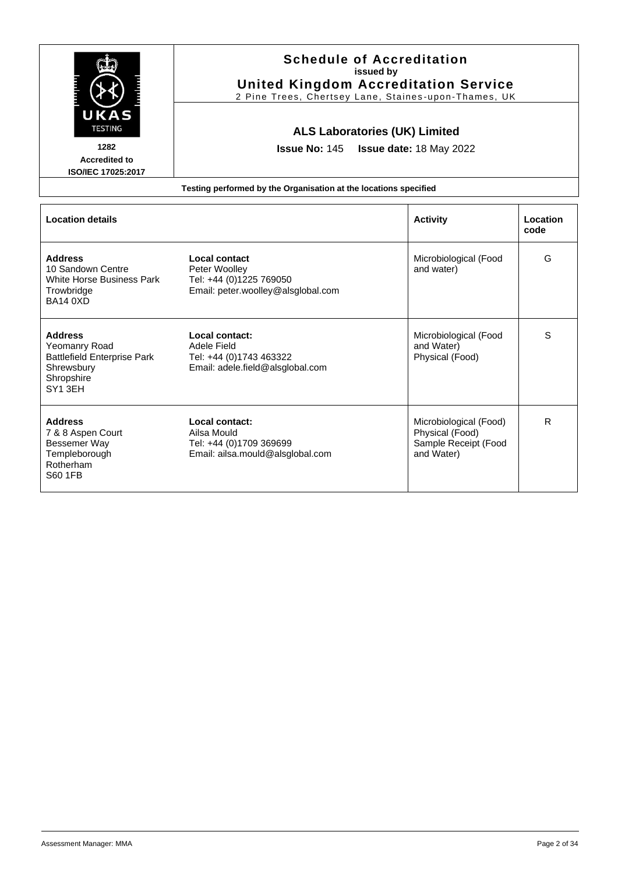|                                                                                                                          | <b>Schedule of Accreditation</b><br>issued by<br><b>United Kingdom Accreditation Service</b><br>2 Pine Trees, Chertsey Lane, Staines-upon-Thames, UK        |                                                                                 |                  |  |
|--------------------------------------------------------------------------------------------------------------------------|-------------------------------------------------------------------------------------------------------------------------------------------------------------|---------------------------------------------------------------------------------|------------------|--|
| UKAS<br><b>TESTING</b><br>1282<br><b>Accredited to</b><br>ISO/IEC 17025:2017                                             | <b>ALS Laboratories (UK) Limited</b><br><b>Issue No: 145</b><br>Issue date: 18 May 2022<br>Testing performed by the Organisation at the locations specified |                                                                                 |                  |  |
| <b>Location details</b>                                                                                                  |                                                                                                                                                             | <b>Activity</b>                                                                 | Location<br>code |  |
| <b>Address</b><br>10 Sandown Centre<br>White Horse Business Park<br>Trowbridge<br><b>BA14 0XD</b>                        | <b>Local contact</b><br>Peter Woolley<br>Tel: +44 (0)1225 769050<br>Email: peter.woolley@alsglobal.com                                                      | Microbiological (Food<br>and water)                                             | G                |  |
| <b>Address</b><br>Yeomanry Road<br><b>Battlefield Enterprise Park</b><br>Shrewsbury<br>Shropshire<br>SY <sub>1</sub> 3FH | Local contact:<br>Adele Field<br>Tel: +44 (0)1743 463322<br>Email: adele.field@alsglobal.com                                                                | Microbiological (Food<br>and Water)<br>Physical (Food)                          | S                |  |
| <b>Address</b><br>7 & 8 Aspen Court<br>Bessemer Way<br>Templeborough<br>Rotherham<br>S60 1FB                             | Local contact:<br>Ailsa Mould<br>Tel: +44 (0)1709 369699<br>Email: ailsa.mould@alsglobal.com                                                                | Microbiological (Food)<br>Physical (Food)<br>Sample Receipt (Food<br>and Water) | R.               |  |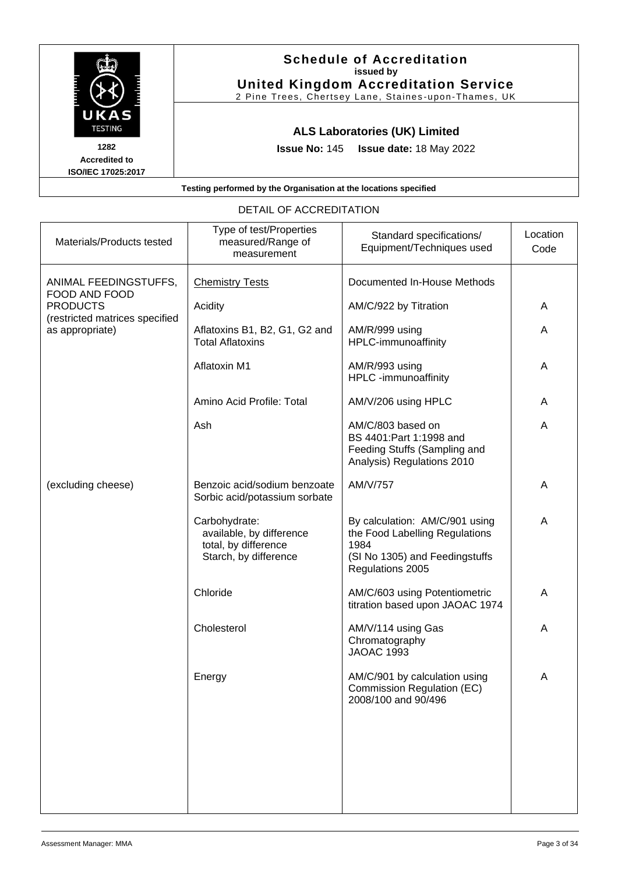

| Materials/Products tested                         | Type of test/Properties<br>measured/Range of<br>measurement                                | Standard specifications/<br>Equipment/Techniques used                                                                          | Location<br>Code |
|---------------------------------------------------|--------------------------------------------------------------------------------------------|--------------------------------------------------------------------------------------------------------------------------------|------------------|
| ANIMAL FEEDINGSTUFFS,<br>FOOD AND FOOD            | <b>Chemistry Tests</b>                                                                     | Documented In-House Methods                                                                                                    |                  |
| <b>PRODUCTS</b><br>(restricted matrices specified | Acidity                                                                                    | AM/C/922 by Titration                                                                                                          | A                |
| as appropriate)                                   | Aflatoxins B1, B2, G1, G2 and<br><b>Total Aflatoxins</b>                                   | AM/R/999 using<br>HPLC-immunoaffinity                                                                                          | A                |
|                                                   | <b>Aflatoxin M1</b>                                                                        | AM/R/993 using<br>HPLC -immunoaffinity                                                                                         | Α                |
|                                                   | Amino Acid Profile: Total                                                                  | AM/V/206 using HPLC                                                                                                            | Α                |
|                                                   | Ash                                                                                        | AM/C/803 based on<br>BS 4401: Part 1: 1998 and<br>Feeding Stuffs (Sampling and<br>Analysis) Regulations 2010                   | A                |
| (excluding cheese)                                | Benzoic acid/sodium benzoate<br>Sorbic acid/potassium sorbate                              | AM/V/757                                                                                                                       | A                |
|                                                   | Carbohydrate:<br>available, by difference<br>total, by difference<br>Starch, by difference | By calculation: AM/C/901 using<br>the Food Labelling Regulations<br>1984<br>(SI No 1305) and Feedingstuffs<br>Regulations 2005 | A                |
|                                                   | Chloride                                                                                   | AM/C/603 using Potentiometric<br>titration based upon JAOAC 1974                                                               | Α                |
|                                                   | Cholesterol                                                                                | AM/V/114 using Gas<br>Chromatography<br><b>JAOAC 1993</b>                                                                      | A                |
|                                                   | Energy                                                                                     | AM/C/901 by calculation using<br>Commission Regulation (EC)<br>2008/100 and 90/496                                             | A                |
|                                                   |                                                                                            |                                                                                                                                |                  |
|                                                   |                                                                                            |                                                                                                                                |                  |
|                                                   |                                                                                            |                                                                                                                                |                  |

# DETAIL OF ACCREDITATION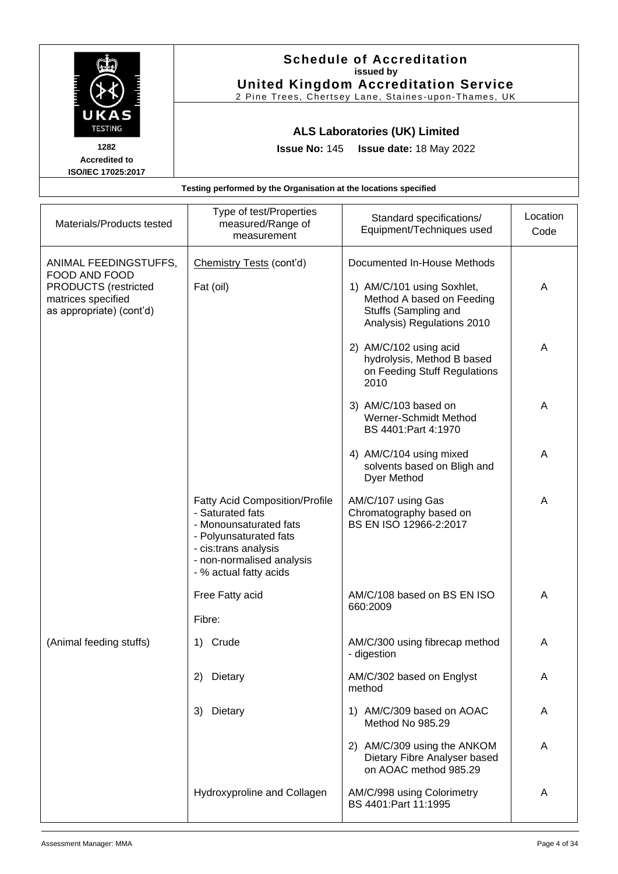|                                            |                                                                  | <b>Schedule of Accreditation</b><br>issued by<br><b>United Kingdom Accreditation Service</b><br>2 Pine Trees, Chertsey Lane, Staines-upon-Thames, UK |                  |
|--------------------------------------------|------------------------------------------------------------------|------------------------------------------------------------------------------------------------------------------------------------------------------|------------------|
| UKAS<br><b>TESTING</b><br>1282             |                                                                  | <b>ALS Laboratories (UK) Limited</b><br>Issue No: 145   Issue date: 18 May 2022                                                                      |                  |
| <b>Accredited to</b><br>ISO/IEC 17025:2017 |                                                                  |                                                                                                                                                      |                  |
|                                            | Testing performed by the Organisation at the locations specified |                                                                                                                                                      |                  |
| Materials/Products tested                  | Type of test/Properties<br>measured/Range of<br>measurement      | Standard specifications/<br>Equipment/Techniques used                                                                                                | Location<br>Code |
|                                            |                                                                  | .                                                                                                                                                    |                  |

| ANIMAL FEEDINGSTUFFS,<br>FOOD AND FOOD                                        | Chemistry Tests (cont'd)                                                                                                                                                                     | Documented In-House Methods                                                                                   |   |
|-------------------------------------------------------------------------------|----------------------------------------------------------------------------------------------------------------------------------------------------------------------------------------------|---------------------------------------------------------------------------------------------------------------|---|
| <b>PRODUCTS</b> (restricted<br>matrices specified<br>as appropriate) (cont'd) | Fat (oil)                                                                                                                                                                                    | 1) AM/C/101 using Soxhlet,<br>Method A based on Feeding<br>Stuffs (Sampling and<br>Analysis) Regulations 2010 | A |
|                                                                               |                                                                                                                                                                                              | 2) AM/C/102 using acid<br>hydrolysis, Method B based<br>on Feeding Stuff Regulations<br>2010                  | A |
|                                                                               |                                                                                                                                                                                              | 3) AM/C/103 based on<br>Werner-Schmidt Method<br>BS 4401: Part 4: 1970                                        | A |
|                                                                               |                                                                                                                                                                                              | 4) AM/C/104 using mixed<br>solvents based on Bligh and<br>Dyer Method                                         | A |
|                                                                               | <b>Fatty Acid Composition/Profile</b><br>- Saturated fats<br>- Monounsaturated fats<br>- Polyunsaturated fats<br>- cis:trans analysis<br>- non-normalised analysis<br>- % actual fatty acids | AM/C/107 using Gas<br>Chromatography based on<br>BS EN ISO 12966-2:2017                                       | A |
|                                                                               | Free Fatty acid<br>Fibre:                                                                                                                                                                    | AM/C/108 based on BS EN ISO<br>660:2009                                                                       | Α |
| (Animal feeding stuffs)                                                       | Crude<br>1)                                                                                                                                                                                  | AM/C/300 using fibrecap method<br>- digestion                                                                 | A |
|                                                                               | Dietary<br>2)                                                                                                                                                                                | AM/C/302 based on Englyst<br>method                                                                           | A |
|                                                                               | 3) Dietary                                                                                                                                                                                   | 1) AM/C/309 based on AOAC<br>Method No 985.29                                                                 | Α |
|                                                                               |                                                                                                                                                                                              | 2) AM/C/309 using the ANKOM<br>Dietary Fibre Analyser based<br>on AOAC method 985.29                          | A |
|                                                                               | Hydroxyproline and Collagen                                                                                                                                                                  | AM/C/998 using Colorimetry<br>BS 4401:Part 11:1995                                                            | A |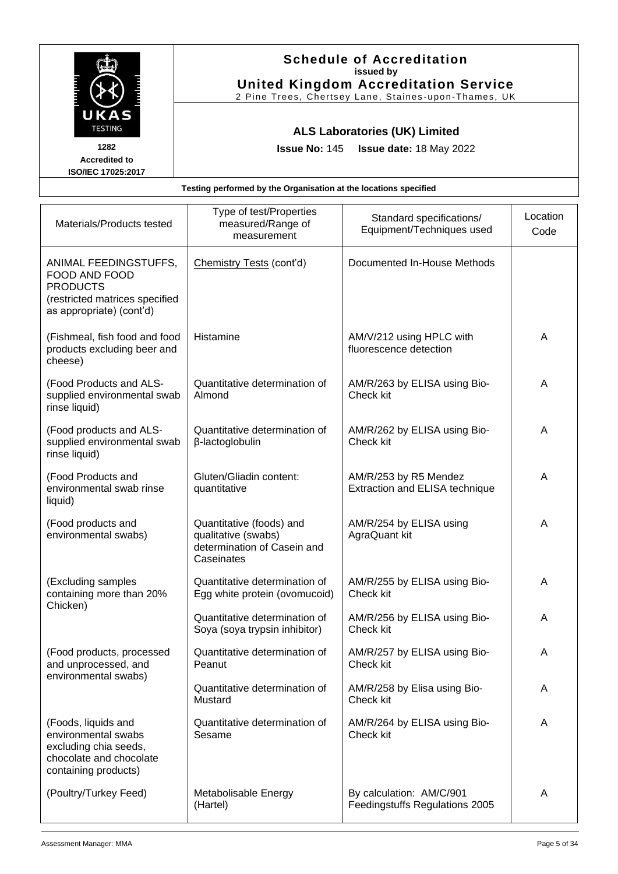|                           | <b>Schedule of Accreditation</b>                                 |
|---------------------------|------------------------------------------------------------------|
|                           | issued by                                                        |
|                           | <b>United Kingdom Accreditation Service</b>                      |
|                           | 2 Pine Trees, Chertsey Lane, Staines-upon-Thames, UK             |
| UKAS                      |                                                                  |
| <b>TESTING</b>            |                                                                  |
|                           | <b>ALS Laboratories (UK) Limited</b>                             |
| 1282                      | <b>Issue No: 145 Issue date: 18 May 2022</b>                     |
| <b>Accredited to</b>      |                                                                  |
| <b>ISO/IEC 17025:2017</b> |                                                                  |
|                           | Testing performed by the Organisation at the locations specified |
|                           |                                                                  |

| Materials/Products tested                                                                                               | Type of test/Properties<br>measured/Range of<br>measurement                                  | Standard specifications/<br>Equipment/Techniques used      | Location<br>Code |
|-------------------------------------------------------------------------------------------------------------------------|----------------------------------------------------------------------------------------------|------------------------------------------------------------|------------------|
| ANIMAL FEEDINGSTUFFS,<br>FOOD AND FOOD<br><b>PRODUCTS</b><br>(restricted matrices specified<br>as appropriate) (cont'd) | Chemistry Tests (cont'd)                                                                     | Documented In-House Methods                                |                  |
| (Fishmeal, fish food and food<br>products excluding beer and<br>cheese)                                                 | Histamine                                                                                    | AM/V/212 using HPLC with<br>fluorescence detection         | A                |
| (Food Products and ALS-<br>supplied environmental swab<br>rinse liquid)                                                 | Quantitative determination of<br>Almond                                                      | AM/R/263 by ELISA using Bio-<br>Check kit                  | A                |
| (Food products and ALS-<br>supplied environmental swab<br>rinse liquid)                                                 | Quantitative determination of<br>β-lactoglobulin                                             | AM/R/262 by ELISA using Bio-<br>Check kit                  | A                |
| (Food Products and<br>environmental swab rinse<br>liquid)                                                               | Gluten/Gliadin content:<br>quantitative                                                      | AM/R/253 by R5 Mendez<br>Extraction and ELISA technique    | A                |
| (Food products and<br>environmental swabs)                                                                              | Quantitative (foods) and<br>qualitative (swabs)<br>determination of Casein and<br>Caseinates | AM/R/254 by ELISA using<br>AgraQuant kit                   | A                |
| (Excluding samples<br>containing more than 20%<br>Chicken)                                                              | Quantitative determination of<br>Egg white protein (ovomucoid)                               | AM/R/255 by ELISA using Bio-<br>Check kit                  | A                |
|                                                                                                                         | Quantitative determination of<br>Soya (soya trypsin inhibitor)                               | AM/R/256 by ELISA using Bio-<br>Check kit                  | A                |
| (Food products, processed<br>and unprocessed, and<br>environmental swabs)                                               | Quantitative determination of<br>Peanut                                                      | AM/R/257 by ELISA using Bio-<br>Check kit                  | A                |
|                                                                                                                         | Quantitative determination of<br>Mustard                                                     | AM/R/258 by Elisa using Bio-<br>Check kit                  | A                |
| (Foods, liquids and<br>environmental swabs<br>excluding chia seeds,<br>chocolate and chocolate<br>containing products)  | Quantitative determination of<br>Sesame                                                      | AM/R/264 by ELISA using Bio-<br>Check kit                  | A                |
| (Poultry/Turkey Feed)                                                                                                   | Metabolisable Energy<br>(Hartel)                                                             | By calculation: AM/C/901<br>Feedingstuffs Regulations 2005 | A                |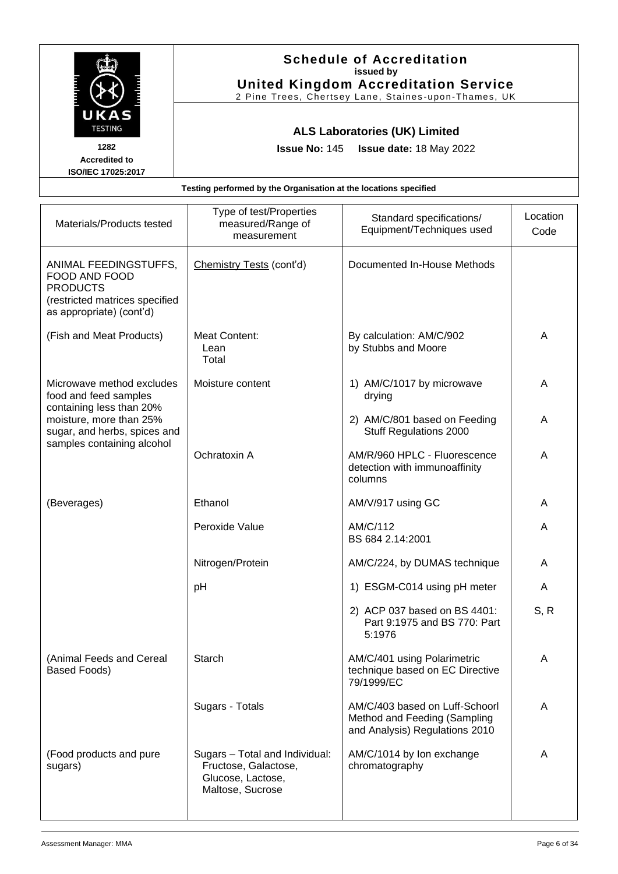|                              |                                                                  | <b>Schedule of Accreditation</b><br>issued by                                                       |            |
|------------------------------|------------------------------------------------------------------|-----------------------------------------------------------------------------------------------------|------------|
|                              |                                                                  | <b>United Kingdom Accreditation Service</b><br>2 Pine Trees, Chertsey Lane, Staines-upon-Thames, UK |            |
| UKAS<br><b>TESTING</b>       |                                                                  | <b>ALS Laboratories (UK) Limited</b>                                                                |            |
| 1282<br><b>Accredited to</b> |                                                                  | <b>Issue No: 145 Issue date: 18 May 2022</b>                                                        |            |
| <b>ISO/IEC 17025:2017</b>    |                                                                  |                                                                                                     |            |
|                              | Testing performed by the Organisation at the locations specified |                                                                                                     |            |
|                              | Type of test/Properties                                          | Ctanderd enogitiantianal                                                                            | l ocation. |

| Materials/Products tested                                                                                               | Type of test/Properties<br>measured/Range of<br>measurement                                     | Standard specifications/<br>Equipment/Techniques used                                            | Location<br>Code |
|-------------------------------------------------------------------------------------------------------------------------|-------------------------------------------------------------------------------------------------|--------------------------------------------------------------------------------------------------|------------------|
| ANIMAL FEEDINGSTUFFS,<br>FOOD AND FOOD<br><b>PRODUCTS</b><br>(restricted matrices specified<br>as appropriate) (cont'd) | Chemistry Tests (cont'd)                                                                        | Documented In-House Methods                                                                      |                  |
| (Fish and Meat Products)                                                                                                | Meat Content:<br>Lean<br>Total                                                                  | By calculation: AM/C/902<br>by Stubbs and Moore                                                  | A                |
| Microwave method excludes<br>food and feed samples<br>containing less than 20%                                          | Moisture content                                                                                | 1) AM/C/1017 by microwave<br>drying                                                              | A                |
| moisture, more than 25%<br>sugar, and herbs, spices and<br>samples containing alcohol                                   |                                                                                                 | 2) AM/C/801 based on Feeding<br>Stuff Regulations 2000                                           | A                |
|                                                                                                                         | Ochratoxin A                                                                                    | AM/R/960 HPLC - Fluorescence<br>detection with immunoaffinity<br>columns                         | A                |
| (Beverages)                                                                                                             | Ethanol                                                                                         | AM/V/917 using GC                                                                                | A                |
|                                                                                                                         | Peroxide Value                                                                                  | AM/C/112<br>BS 684 2.14:2001                                                                     | A                |
|                                                                                                                         | Nitrogen/Protein                                                                                | AM/C/224, by DUMAS technique                                                                     | A                |
|                                                                                                                         | pH                                                                                              | 1) ESGM-C014 using pH meter                                                                      | A                |
|                                                                                                                         |                                                                                                 | 2) ACP 037 based on BS 4401:<br>Part 9:1975 and BS 770: Part<br>5:1976                           | S, R             |
| (Animal Feeds and Cereal<br><b>Based Foods)</b>                                                                         | <b>Starch</b>                                                                                   | AM/C/401 using Polarimetric<br>technique based on EC Directive<br>79/1999/EC                     | A                |
|                                                                                                                         | Sugars - Totals                                                                                 | AM/C/403 based on Luff-Schoorl<br>Method and Feeding (Sampling<br>and Analysis) Regulations 2010 | A                |
| (Food products and pure<br>sugars)                                                                                      | Sugars - Total and Individual:<br>Fructose, Galactose,<br>Glucose, Lactose,<br>Maltose, Sucrose | AM/C/1014 by Ion exchange<br>chromatography                                                      | A                |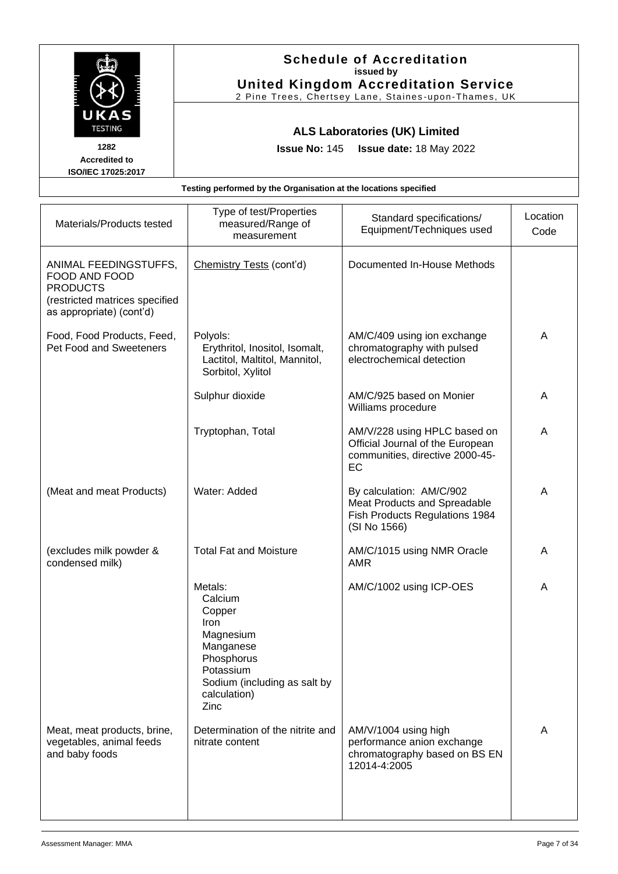|                                                                              |                                                                  | <b>Schedule of Accreditation</b><br>issued by<br><b>United Kingdom Accreditation Service</b><br>2 Pine Trees, Chertsey Lane, Staines-upon-Thames, UK |          |
|------------------------------------------------------------------------------|------------------------------------------------------------------|------------------------------------------------------------------------------------------------------------------------------------------------------|----------|
| UKAS<br><b>TESTING</b><br>1282<br><b>Accredited to</b><br>ISO/IEC 17025:2017 |                                                                  | <b>ALS Laboratories (UK) Limited</b><br><b>Issue No: 145 Issue date: 18 May 2022</b>                                                                 |          |
|                                                                              | Testing performed by the Organisation at the locations specified |                                                                                                                                                      |          |
| Materials/Products tested                                                    | Type of test/Properties<br>measured/Range of                     | Standard specifications/                                                                                                                             | Location |

| Materials/Products tested                                                                                               | i ype or teatr Tuperties<br>measured/Range of<br>measurement                                                                                             | Standard specifications/<br>Equipment/Techniques used                                                      | Location<br>Code |
|-------------------------------------------------------------------------------------------------------------------------|----------------------------------------------------------------------------------------------------------------------------------------------------------|------------------------------------------------------------------------------------------------------------|------------------|
| ANIMAL FEEDINGSTUFFS,<br>FOOD AND FOOD<br><b>PRODUCTS</b><br>(restricted matrices specified<br>as appropriate) (cont'd) | Chemistry Tests (cont'd)                                                                                                                                 | Documented In-House Methods                                                                                |                  |
| Food, Food Products, Feed,<br>Pet Food and Sweeteners                                                                   | Polyols:<br>Erythritol, Inositol, Isomalt,<br>Lactitol, Maltitol, Mannitol,<br>Sorbitol, Xylitol                                                         | AM/C/409 using ion exchange<br>chromatography with pulsed<br>electrochemical detection                     | A                |
|                                                                                                                         | Sulphur dioxide                                                                                                                                          | AM/C/925 based on Monier<br>Williams procedure                                                             | A                |
|                                                                                                                         | Tryptophan, Total                                                                                                                                        | AM/V/228 using HPLC based on<br>Official Journal of the European<br>communities, directive 2000-45-<br>EC  | A                |
| (Meat and meat Products)                                                                                                | Water: Added                                                                                                                                             | By calculation: AM/C/902<br>Meat Products and Spreadable<br>Fish Products Regulations 1984<br>(SI No 1566) | A                |
| (excludes milk powder &<br>condensed milk)                                                                              | <b>Total Fat and Moisture</b>                                                                                                                            | AM/C/1015 using NMR Oracle<br><b>AMR</b>                                                                   | A                |
|                                                                                                                         | Metals:<br>Calcium<br>Copper<br><b>Iron</b><br>Magnesium<br>Manganese<br>Phosphorus<br>Potassium<br>Sodium (including as salt by<br>calculation)<br>Zinc | AM/C/1002 using ICP-OES                                                                                    | A                |
| Meat, meat products, brine,<br>vegetables, animal feeds<br>and baby foods                                               | Determination of the nitrite and<br>nitrate content                                                                                                      | AM/V/1004 using high<br>performance anion exchange<br>chromatography based on BS EN<br>12014-4:2005        | A                |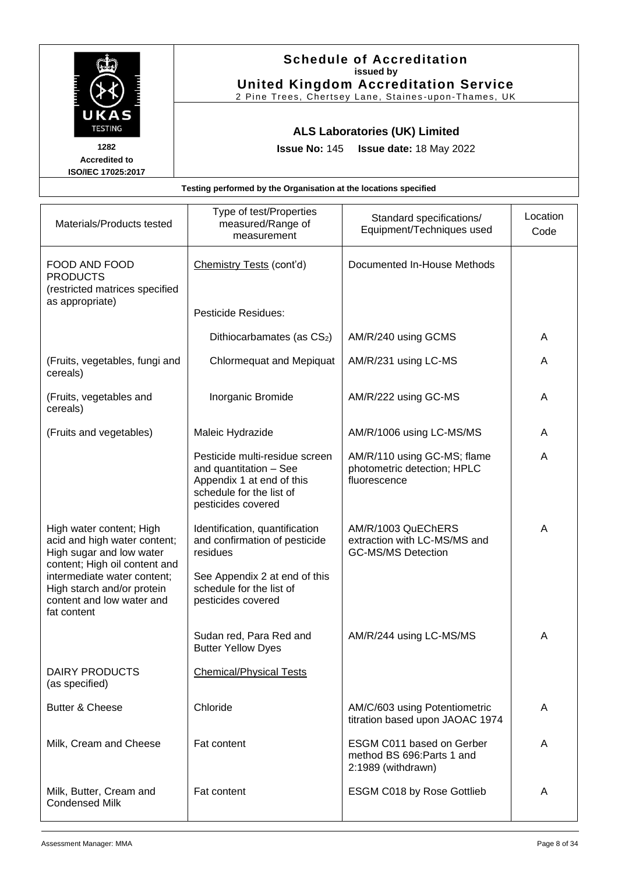| UKAS                                               | <b>Schedule of Accreditation</b><br>issued by<br><b>United Kingdom Accreditation Service</b><br>2 Pine Trees, Chertsey Lane, Staines-upon-Thames, UK |                                                       |                  |
|----------------------------------------------------|------------------------------------------------------------------------------------------------------------------------------------------------------|-------------------------------------------------------|------------------|
| <b>TESTING</b>                                     |                                                                                                                                                      | <b>ALS Laboratories (UK) Limited</b>                  |                  |
| 1282<br><b>Accredited to</b><br>ISO/IEC 17025:2017 |                                                                                                                                                      | <b>Issue No: 145 Issue date: 18 May 2022</b>          |                  |
|                                                    | Testing performed by the Organisation at the locations specified                                                                                     |                                                       |                  |
| Materials/Products tested                          | Type of test/Properties<br>measured/Range of<br>measurement                                                                                          | Standard specifications/<br>Equipment/Techniques used | Location<br>Code |
| FOOD AND FOOD<br><b>PRODUCTS</b>                   | Chemistry Tests (cont'd)                                                                                                                             | Documented In-House Methods                           |                  |

| Materials/Products tested                                                                                             | Type of test/Properties<br>measured/Range of<br>measurement                                                                             | Standard specifications/<br>Equipment/Techniques used                           | Location<br>Code |
|-----------------------------------------------------------------------------------------------------------------------|-----------------------------------------------------------------------------------------------------------------------------------------|---------------------------------------------------------------------------------|------------------|
| FOOD AND FOOD<br><b>PRODUCTS</b><br>(restricted matrices specified                                                    | Chemistry Tests (cont'd)                                                                                                                | Documented In-House Methods                                                     |                  |
| as appropriate)                                                                                                       | <b>Pesticide Residues:</b>                                                                                                              |                                                                                 |                  |
|                                                                                                                       | Dithiocarbamates (as CS2)                                                                                                               | AM/R/240 using GCMS                                                             | A                |
| (Fruits, vegetables, fungi and<br>cereals)                                                                            | <b>Chlormequat and Mepiquat</b>                                                                                                         | AM/R/231 using LC-MS                                                            | A                |
| (Fruits, vegetables and<br>cereals)                                                                                   | Inorganic Bromide                                                                                                                       | AM/R/222 using GC-MS                                                            | A                |
| (Fruits and vegetables)                                                                                               | Maleic Hydrazide                                                                                                                        | AM/R/1006 using LC-MS/MS                                                        | A                |
|                                                                                                                       | Pesticide multi-residue screen<br>and quantitation - See<br>Appendix 1 at end of this<br>schedule for the list of<br>pesticides covered | AM/R/110 using GC-MS; flame<br>photometric detection; HPLC<br>fluorescence      | A                |
| High water content; High<br>acid and high water content;<br>High sugar and low water<br>content; High oil content and | Identification, quantification<br>and confirmation of pesticide<br>residues                                                             | AM/R/1003 QuEChERS<br>extraction with LC-MS/MS and<br><b>GC-MS/MS Detection</b> | A                |
| intermediate water content;<br>High starch and/or protein<br>content and low water and<br>fat content                 | See Appendix 2 at end of this<br>schedule for the list of<br>pesticides covered                                                         |                                                                                 |                  |
|                                                                                                                       | Sudan red, Para Red and<br><b>Butter Yellow Dyes</b>                                                                                    | AM/R/244 using LC-MS/MS                                                         | A                |
| <b>DAIRY PRODUCTS</b><br>(as specified)                                                                               | <b>Chemical/Physical Tests</b>                                                                                                          |                                                                                 |                  |
| <b>Butter &amp; Cheese</b>                                                                                            | Chloride                                                                                                                                | AM/C/603 using Potentiometric<br>titration based upon JAOAC 1974                | A                |
| Milk, Cream and Cheese                                                                                                | Fat content                                                                                                                             | ESGM C011 based on Gerber<br>method BS 696: Parts 1 and<br>2:1989 (withdrawn)   | A                |
| Milk, Butter, Cream and<br><b>Condensed Milk</b>                                                                      | Fat content                                                                                                                             | ESGM C018 by Rose Gottlieb                                                      | A                |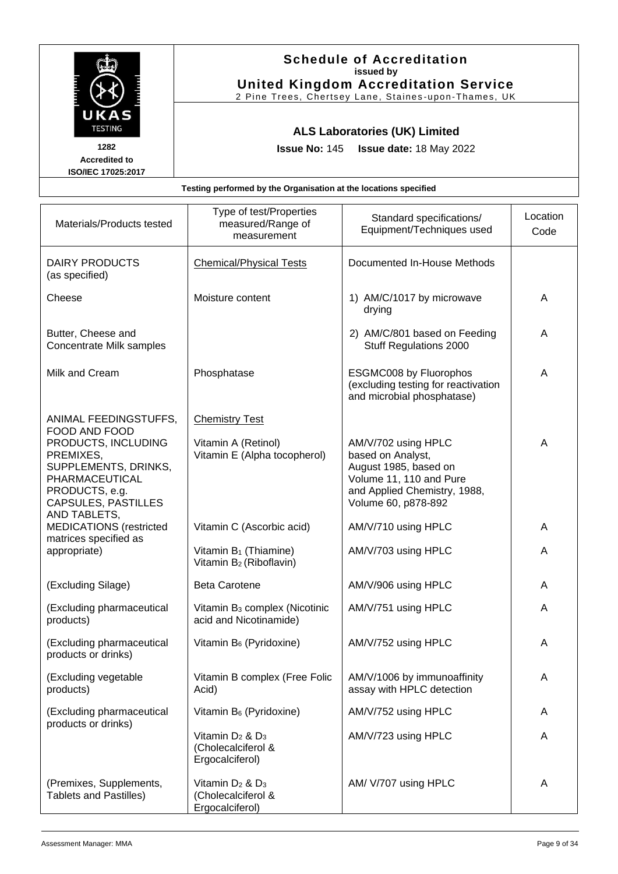|                                                       |                                                                  | <b>Schedule of Accreditation</b><br>issued by<br><b>United Kingdom Accreditation Service</b><br>2 Pine Trees, Chertsey Lane, Staines-upon-Thames, UK |                  |
|-------------------------------------------------------|------------------------------------------------------------------|------------------------------------------------------------------------------------------------------------------------------------------------------|------------------|
| UKAS<br><b>TESTING</b>                                | <b>ALS Laboratories (UK) Limited</b>                             |                                                                                                                                                      |                  |
| 1282<br><b>Accredited to</b><br>ISO/IEC 17025:2017    | <b>Issue No: 145</b>                                             | <b>Issue date: 18 May 2022</b>                                                                                                                       |                  |
|                                                       | Testing performed by the Organisation at the locations specified |                                                                                                                                                      |                  |
| Materials/Products tested                             | Type of test/Properties<br>measured/Range of<br>measurement      | Standard specifications/<br>Equipment/Techniques used                                                                                                | Location<br>Code |
| DAIRY PRODUCTS<br>(as specified)                      | <b>Chemical/Physical Tests</b>                                   | Documented In-House Methods                                                                                                                          |                  |
| Cheese                                                | Moisture content                                                 | 1) AM/C/1017 by microwave<br>drying                                                                                                                  | A                |
| Butter, Cheese and<br><b>Concentrate Milk samples</b> |                                                                  | 2) AM/C/801 based on Feeding<br><b>Stuff Regulations 2000</b>                                                                                        | A                |
| Milk and Cream                                        | Phosphatase                                                      | <b>ESGMC008 by Fluorophos</b><br>(excluding testing for reactivation<br>and microbial phosphatase)                                                   | A                |
| ANIMAL FEEDINGSTUFFS.                                 | <b>Chemistry Test</b>                                            |                                                                                                                                                      |                  |

| ANIMAL FEEDINGSTUFFS,<br>FOOD AND FOOD<br>PRODUCTS, INCLUDING<br>PREMIXES,<br>SUPPLEMENTS, DRINKS,<br>PHARMACEUTICAL<br>PRODUCTS, e.g.<br><b>CAPSULES, PASTILLES</b><br>AND TABLETS. | <b>Chemistry Test</b><br>Vitamin A (Retinol)<br>Vitamin E (Alpha tocopherol) | AM/V/702 using HPLC<br>based on Analyst,<br>August 1985, based on<br>Volume 11, 110 and Pure<br>and Applied Chemistry, 1988,<br>Volume 60, p878-892 | A |
|--------------------------------------------------------------------------------------------------------------------------------------------------------------------------------------|------------------------------------------------------------------------------|-----------------------------------------------------------------------------------------------------------------------------------------------------|---|
| <b>MEDICATIONS</b> (restricted<br>matrices specified as                                                                                                                              | Vitamin C (Ascorbic acid)                                                    | AM/V/710 using HPLC                                                                                                                                 | A |
| appropriate)                                                                                                                                                                         | Vitamin B <sub>1</sub> (Thiamine)<br>Vitamin B <sub>2</sub> (Riboflavin)     | AM/V/703 using HPLC                                                                                                                                 | Α |
| (Excluding Silage)                                                                                                                                                                   | <b>Beta Carotene</b>                                                         | AM/V/906 using HPLC                                                                                                                                 | A |
| (Excluding pharmaceutical<br>products)                                                                                                                                               | Vitamin B <sub>3</sub> complex (Nicotinic<br>acid and Nicotinamide)          | AM/V/751 using HPLC                                                                                                                                 | Α |
| (Excluding pharmaceutical<br>products or drinks)                                                                                                                                     | Vitamin B <sub>6</sub> (Pyridoxine)                                          | AM/V/752 using HPLC                                                                                                                                 | A |
| (Excluding vegetable<br>products)                                                                                                                                                    | Vitamin B complex (Free Folic<br>Acid)                                       | AM/V/1006 by immunoaffinity<br>assay with HPLC detection                                                                                            | A |
| (Excluding pharmaceutical<br>products or drinks)                                                                                                                                     | Vitamin B <sub>6</sub> (Pyridoxine)                                          | AM/V/752 using HPLC                                                                                                                                 | A |
|                                                                                                                                                                                      | Vitamin $D_2$ & $D_3$<br>(Cholecalciferol &<br>Ergocalciferol)               | AM/V/723 using HPLC                                                                                                                                 | A |
| (Premixes, Supplements,<br><b>Tablets and Pastilles)</b>                                                                                                                             | Vitamin $D_2$ & $D_3$<br>(Cholecalciferol &<br>Ergocalciferol)               | AM/ V/707 using HPLC                                                                                                                                | A |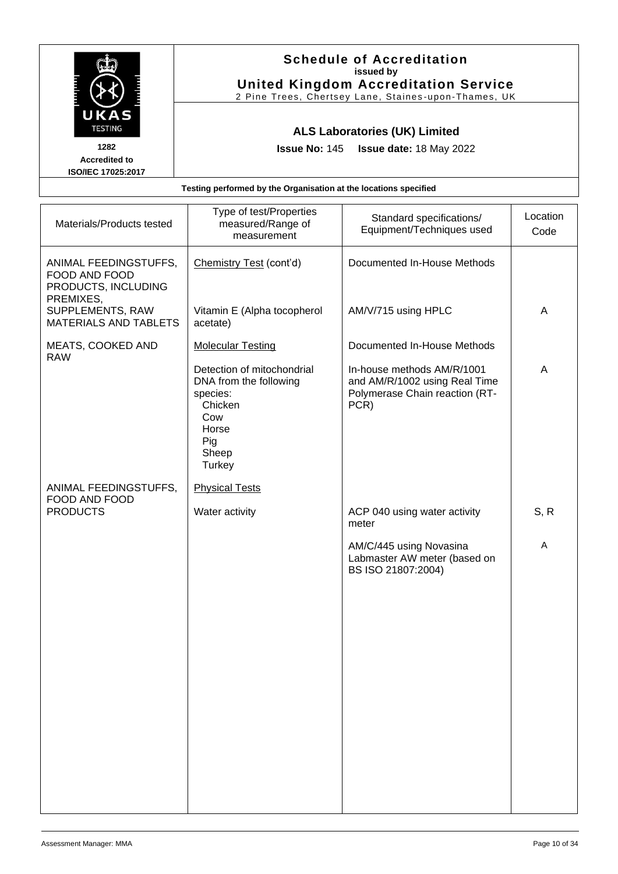

| Materials/Products tested                                                  | Type of test/Properties<br>measured/Range of<br>measurement                                                           | Standard specifications/<br>Equipment/Techniques used                                                 | Location<br>Code |
|----------------------------------------------------------------------------|-----------------------------------------------------------------------------------------------------------------------|-------------------------------------------------------------------------------------------------------|------------------|
| ANIMAL FEEDINGSTUFFS,<br>FOOD AND FOOD<br>PRODUCTS, INCLUDING<br>PREMIXES, | Chemistry Test (cont'd)                                                                                               | Documented In-House Methods                                                                           |                  |
| SUPPLEMENTS, RAW<br><b>MATERIALS AND TABLETS</b>                           | Vitamin E (Alpha tocopherol<br>acetate)                                                                               | AM/V/715 using HPLC                                                                                   | A                |
| MEATS, COOKED AND<br><b>RAW</b>                                            | <b>Molecular Testing</b>                                                                                              | Documented In-House Methods                                                                           |                  |
|                                                                            | Detection of mitochondrial<br>DNA from the following<br>species:<br>Chicken<br>Cow<br>Horse<br>Pig<br>Sheep<br>Turkey | In-house methods AM/R/1001<br>and AM/R/1002 using Real Time<br>Polymerase Chain reaction (RT-<br>PCR) | A                |
| ANIMAL FEEDINGSTUFFS,<br>FOOD AND FOOD                                     | <b>Physical Tests</b>                                                                                                 |                                                                                                       |                  |
| <b>PRODUCTS</b>                                                            | Water activity                                                                                                        | ACP 040 using water activity<br>meter                                                                 | S, R             |
|                                                                            |                                                                                                                       | AM/C/445 using Novasina<br>Labmaster AW meter (based on<br>BS ISO 21807:2004)                         | A                |
|                                                                            |                                                                                                                       |                                                                                                       |                  |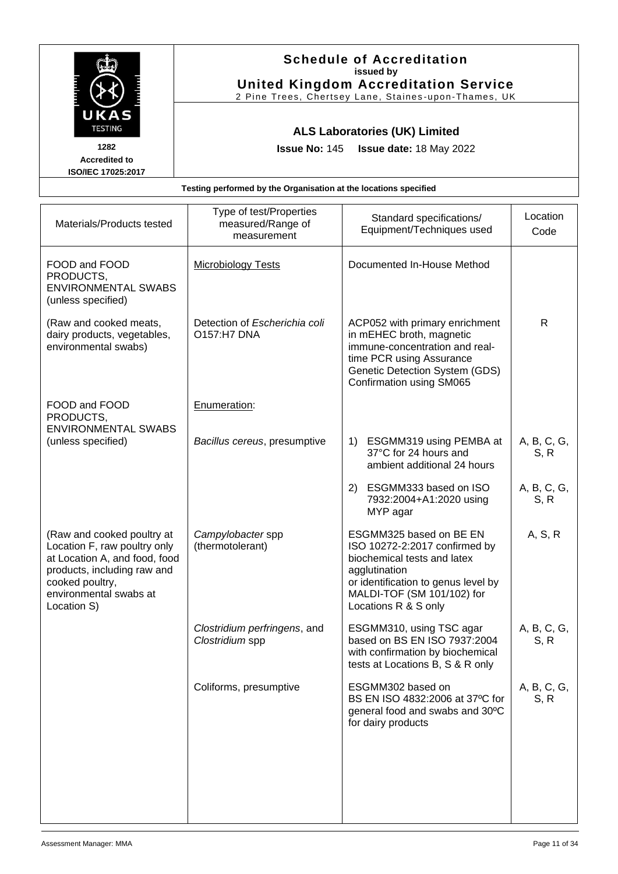|                                                                                                                                                                                        |                                                                  | <b>Schedule of Accreditation</b><br>issued by<br><b>United Kingdom Accreditation Service</b><br>2 Pine Trees, Chertsey Lane, Staines-upon-Thames, UK                                                  |                     |
|----------------------------------------------------------------------------------------------------------------------------------------------------------------------------------------|------------------------------------------------------------------|-------------------------------------------------------------------------------------------------------------------------------------------------------------------------------------------------------|---------------------|
| UKAS<br><b>TESTING</b><br>1282<br><b>Accredited to</b><br>ISO/IEC 17025:2017                                                                                                           | <b>Issue No: 145</b>                                             | <b>ALS Laboratories (UK) Limited</b><br>Issue date: 18 May 2022                                                                                                                                       |                     |
|                                                                                                                                                                                        | Testing performed by the Organisation at the locations specified |                                                                                                                                                                                                       |                     |
| Materials/Products tested                                                                                                                                                              | Type of test/Properties<br>measured/Range of<br>measurement      | Standard specifications/<br>Equipment/Techniques used                                                                                                                                                 | Location<br>Code    |
| FOOD and FOOD<br>PRODUCTS,<br><b>ENVIRONMENTAL SWABS</b><br>(unless specified)                                                                                                         | <b>Microbiology Tests</b>                                        | Documented In-House Method                                                                                                                                                                            |                     |
| (Raw and cooked meats,<br>dairy products, vegetables,<br>environmental swabs)                                                                                                          | Detection of Escherichia coli<br><b>O157:H7 DNA</b>              | ACP052 with primary enrichment<br>in mEHEC broth, magnetic<br>immune-concentration and real-<br>time PCR using Assurance<br>Genetic Detection System (GDS)<br>Confirmation using SM065                | $\mathsf{R}$        |
| FOOD and FOOD<br>PRODUCTS,<br><b>ENVIRONMENTAL SWABS</b>                                                                                                                               | Enumeration:                                                     |                                                                                                                                                                                                       |                     |
| (unless specified)                                                                                                                                                                     | Bacillus cereus, presumptive                                     | 1) ESGMM319 using PEMBA at<br>37°C for 24 hours and<br>ambient additional 24 hours                                                                                                                    | A, B, C, G,<br>S, R |
|                                                                                                                                                                                        |                                                                  | 2) ESGMM333 based on ISO<br>7932:2004+A1:2020 using<br>MYP agar                                                                                                                                       | A, B, C, G,<br>S, R |
| (Raw and cooked poultry at<br>Location F, raw poultry only<br>at Location A, and food, food<br>products, including raw and<br>cooked poultry,<br>environmental swabs at<br>Location S) | Campylobacter spp<br>(thermotolerant)                            | ESGMM325 based on BE EN<br>ISO 10272-2:2017 confirmed by<br>biochemical tests and latex<br>agglutination<br>or identification to genus level by<br>MALDI-TOF (SM 101/102) for<br>Locations R & S only | A, S, R             |
|                                                                                                                                                                                        | Clostridium perfringens, and<br>Clostridium spp                  | ESGMM310, using TSC agar<br>based on BS EN ISO 7937:2004<br>with confirmation by biochemical<br>tests at Locations B, S & R only                                                                      | A, B, C, G,<br>S, R |
|                                                                                                                                                                                        | Coliforms, presumptive                                           | ESGMM302 based on<br>BS EN ISO 4832:2006 at 37°C for<br>general food and swabs and 30°C<br>for dairy products                                                                                         | A, B, C, G,<br>S, R |
|                                                                                                                                                                                        |                                                                  |                                                                                                                                                                                                       |                     |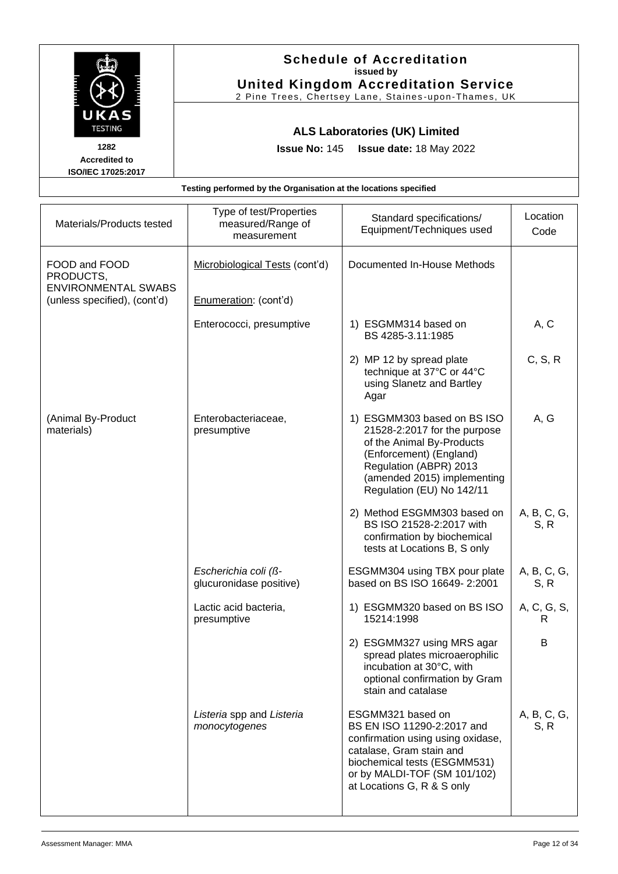|                                                                                          | <b>Schedule of Accreditation</b><br>issued by<br><b>United Kingdom Accreditation Service</b><br>2 Pine Trees, Chertsey Lane, Staines-upon-Thames, UK |                                                                                                                                                                                                           |                     |
|------------------------------------------------------------------------------------------|------------------------------------------------------------------------------------------------------------------------------------------------------|-----------------------------------------------------------------------------------------------------------------------------------------------------------------------------------------------------------|---------------------|
| UKAS<br><b>TESTING</b><br>1282<br><b>Accredited to</b><br>ISO/IEC 17025:2017             | <b>Issue No: 145</b>                                                                                                                                 | <b>ALS Laboratories (UK) Limited</b><br>Issue date: 18 May 2022                                                                                                                                           |                     |
|                                                                                          | Testing performed by the Organisation at the locations specified                                                                                     |                                                                                                                                                                                                           |                     |
| Materials/Products tested                                                                | Type of test/Properties<br>measured/Range of<br>measurement                                                                                          | Standard specifications/<br>Equipment/Techniques used                                                                                                                                                     | Location<br>Code    |
| FOOD and FOOD<br>PRODUCTS,<br><b>ENVIRONMENTAL SWABS</b><br>(unless specified), (cont'd) | Microbiological Tests (cont'd)<br>Enumeration: (cont'd)                                                                                              | Documented In-House Methods                                                                                                                                                                               |                     |
|                                                                                          | Enterococci, presumptive                                                                                                                             | 1) ESGMM314 based on<br>BS 4285-3.11:1985                                                                                                                                                                 | A, C                |
|                                                                                          |                                                                                                                                                      | 2) MP 12 by spread plate<br>technique at 37°C or 44°C<br>using Slanetz and Bartley<br>Agar                                                                                                                | C, S, R             |
| (Animal By-Product<br>materials)                                                         | Enterobacteriaceae,<br>presumptive                                                                                                                   | 1) ESGMM303 based on BS ISO<br>21528-2:2017 for the purpose<br>of the Animal By-Products<br>(Enforcement) (England)<br>Regulation (ABPR) 2013<br>(amended 2015) implementing<br>Regulation (EU) No 142/11 | A, G                |
|                                                                                          |                                                                                                                                                      | 2) Method ESGMM303 based on<br>BS ISO 21528-2:2017 with<br>confirmation by biochemical<br>tests at Locations B, S only                                                                                    | A, B, C, G,<br>S, R |
|                                                                                          | Escherichia coli (ß-<br>glucuronidase positive)                                                                                                      | ESGMM304 using TBX pour plate<br>based on BS ISO 16649-2:2001                                                                                                                                             | A, B, C, G,<br>S, R |
|                                                                                          | Lactic acid bacteria,<br>presumptive                                                                                                                 | 1) ESGMM320 based on BS ISO<br>15214:1998                                                                                                                                                                 | A, C, G, S,<br>R.   |
|                                                                                          |                                                                                                                                                      | 2) ESGMM327 using MRS agar<br>spread plates microaerophilic<br>incubation at 30°C, with<br>optional confirmation by Gram<br>stain and catalase                                                            | B                   |
|                                                                                          | Listeria spp and Listeria<br>monocytogenes                                                                                                           | ESGMM321 based on<br>BS EN ISO 11290-2:2017 and<br>confirmation using using oxidase,                                                                                                                      | A, B, C, G,<br>S, R |

catalase, Gram stain and biochemical tests (ESGMM531) or by MALDI-TOF (SM 101/102) at Locations G, R & S only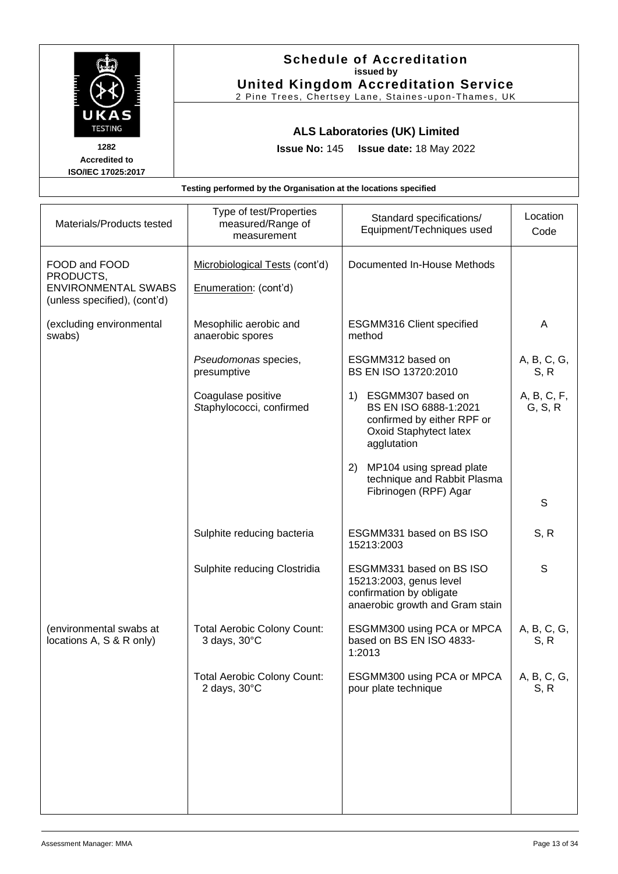|                                                              | <b>United Kingdom Accreditation Service</b><br>2 Pine Trees, Chertsey Lane, Staines-upon-Thames, UK                  |                                                                                                                                  |
|--------------------------------------------------------------|----------------------------------------------------------------------------------------------------------------------|----------------------------------------------------------------------------------------------------------------------------------|
|                                                              | Issue date: 18 May 2022                                                                                              |                                                                                                                                  |
|                                                              |                                                                                                                      |                                                                                                                                  |
| Type of test/Properties<br>measured/Range of<br>measurement  | Standard specifications/<br>Equipment/Techniques used                                                                | Location<br>Code                                                                                                                 |
| Microbiological Tests (cont'd)<br>Enumeration: (cont'd)      | Documented In-House Methods                                                                                          |                                                                                                                                  |
| Mesophilic aerobic and<br>anaerobic spores                   | ESGMM316 Client specified<br>method                                                                                  | A                                                                                                                                |
| Pseudomonas species,<br>presumptive                          | ESGMM312 based on<br>BS EN ISO 13720:2010                                                                            | A, B, C, G,<br>S, R                                                                                                              |
| Coagulase positive<br>Staphylococci, confirmed               | 1) ESGMM307 based on<br>BS EN ISO 6888-1:2021<br>confirmed by either RPF or<br>Oxoid Staphytect latex<br>agglutation | A, B, C, F,<br>G, S, R                                                                                                           |
|                                                              | MP104 using spread plate<br>2)<br>technique and Rabbit Plasma<br>Fibrinogen (RPF) Agar                               | S                                                                                                                                |
| Sulphite reducing bacteria                                   | ESGMM331 based on BS ISO<br>15213:2003                                                                               | S, R                                                                                                                             |
| Sulphite reducing Clostridia                                 | ESGMM331 based on BS ISO<br>15213:2003, genus level<br>confirmation by obligate<br>anaerobic growth and Gram stain   | S                                                                                                                                |
| <b>Total Aerobic Colony Count:</b><br>3 days, 30°C           | ESGMM300 using PCA or MPCA<br>based on BS EN ISO 4833-<br>1:2013                                                     | A, B, C, G,<br>S, R                                                                                                              |
| <b>Total Aerobic Colony Count:</b><br>2 days, $30^{\circ}$ C | ESGMM300 using PCA or MPCA<br>pour plate technique                                                                   | A, B, C, G,<br>S, R                                                                                                              |
|                                                              |                                                                                                                      | <b>ALS Laboratories (UK) Limited</b><br><b>Issue No: 145</b><br>Testing performed by the Organisation at the locations specified |

ा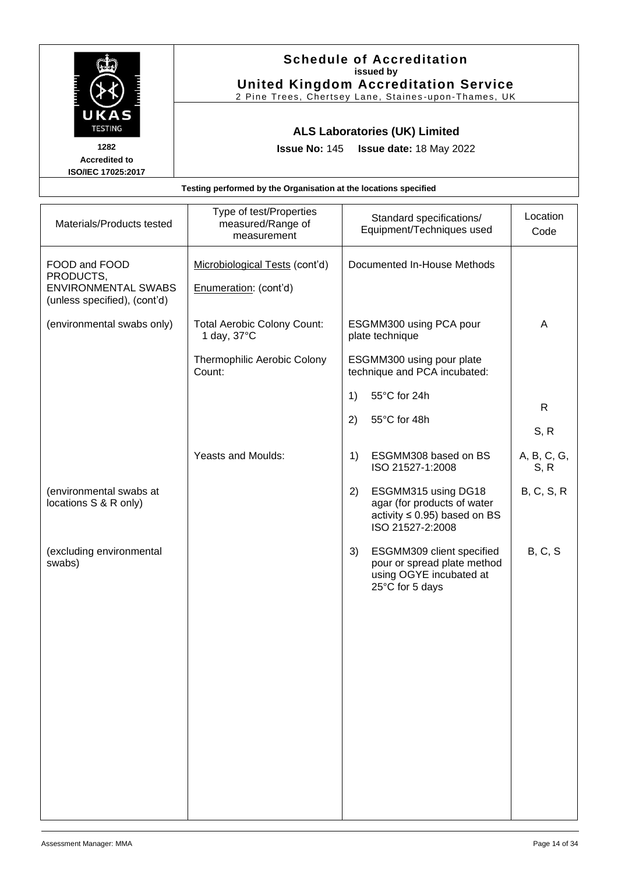|                                                                                          |                                                                                            | <b>Schedule of Accreditation</b><br>issued by<br><b>United Kingdom Accreditation Service</b><br>2 Pine Trees, Chertsey Lane, Staines-upon-Thames, UK |                  |
|------------------------------------------------------------------------------------------|--------------------------------------------------------------------------------------------|------------------------------------------------------------------------------------------------------------------------------------------------------|------------------|
| UKAS<br><b>TESTING</b><br>1282<br><b>Accredited to</b>                                   | <b>Issue No: 145</b>                                                                       | <b>ALS Laboratories (UK) Limited</b><br>Issue date: 18 May 2022                                                                                      |                  |
| ISO/IEC 17025:2017                                                                       | Testing performed by the Organisation at the locations specified                           |                                                                                                                                                      |                  |
| Materials/Products tested                                                                | Type of test/Properties<br>measured/Range of<br>measurement                                | Standard specifications/<br>Equipment/Techniques used                                                                                                | Location<br>Code |
| FOOD and FOOD<br>PRODUCTS,<br><b>ENVIRONMENTAL SWABS</b><br>(unless specified), (cont'd) | Microbiological Tests (cont'd)<br>Enumeration: (cont'd)                                    | Documented In-House Methods                                                                                                                          |                  |
| (environmental swabs only)                                                               | <b>Total Aerobic Colony Count:</b><br>1 day, $37^{\circ}$ C<br>Thermophilic Aerobic Colony | ESGMM300 using PCA pour<br>plate technique<br>ESGMM300 using pour plate                                                                              | A                |
|                                                                                          | Count:                                                                                     | technique and PCA incubated:<br>55°C for 24h<br>1)<br>55°C for 48h<br>2)                                                                             | R.               |
|                                                                                          |                                                                                            |                                                                                                                                                      | S, R             |

Yeasts and Moulds:  $\begin{vmatrix} 1 \end{vmatrix}$  ESGMM308 based on BS

ISO 21527-1:2008

2) ESGMM315 using DG18 agar (for products of water activity ≤ 0.95) based on BS

ISO 21527-2:2008

25°C for 5 days

3) ESGMM309 client specified pour or spread plate method using OGYE incubated at

| (environmental swabs at |
|-------------------------|
| locations S & R only)   |

(excluding environmental swabs)

A, B, C, G, S, R

B, C, S, R

B, C, S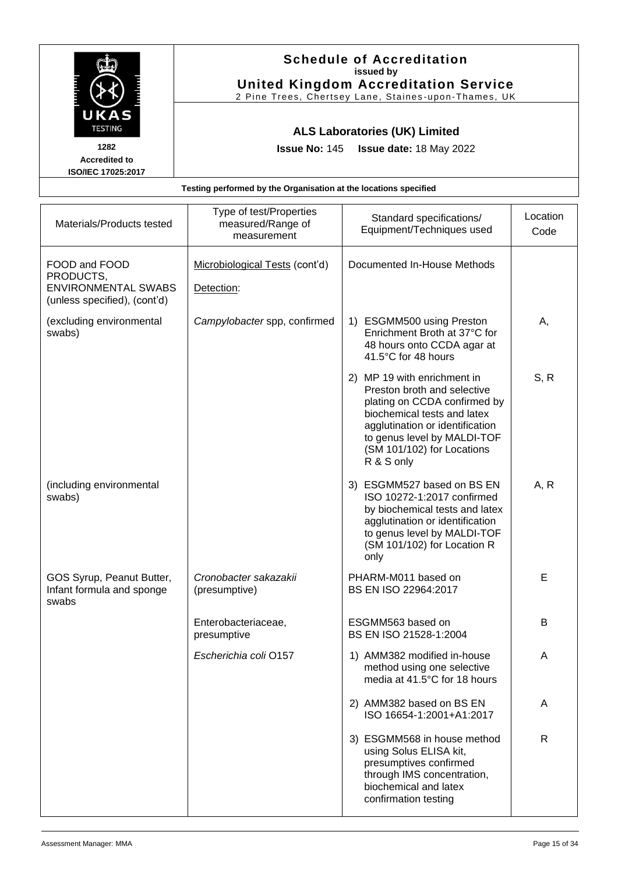|                                                                                          |                                                                  | <b>Schedule of Accreditation</b><br>issued by<br><b>United Kingdom Accreditation Service</b>                                                                                                                                            |                  |
|------------------------------------------------------------------------------------------|------------------------------------------------------------------|-----------------------------------------------------------------------------------------------------------------------------------------------------------------------------------------------------------------------------------------|------------------|
| UKAS<br><b>TESTING</b><br>1282<br><b>Accredited to</b><br>ISO/IEC 17025:2017             | <b>Issue No: 145</b>                                             | 2 Pine Trees, Chertsey Lane, Staines-upon-Thames, UK<br><b>ALS Laboratories (UK) Limited</b><br>Issue date: 18 May 2022                                                                                                                 |                  |
|                                                                                          | Testing performed by the Organisation at the locations specified |                                                                                                                                                                                                                                         |                  |
| Materials/Products tested                                                                | Type of test/Properties<br>measured/Range of<br>measurement      | Standard specifications/<br>Equipment/Techniques used                                                                                                                                                                                   | Location<br>Code |
| FOOD and FOOD<br>PRODUCTS,<br><b>ENVIRONMENTAL SWABS</b><br>(unless specified), (cont'd) | Microbiological Tests (cont'd)<br>Detection:                     | Documented In-House Methods                                                                                                                                                                                                             |                  |
| (excluding environmental<br>swabs)                                                       | Campylobacter spp, confirmed                                     | 1) ESGMM500 using Preston<br>Enrichment Broth at 37°C for<br>48 hours onto CCDA agar at<br>41.5°C for 48 hours                                                                                                                          | А,               |
|                                                                                          |                                                                  | 2) MP 19 with enrichment in<br>Preston broth and selective<br>plating on CCDA confirmed by<br>biochemical tests and latex<br>agglutination or identification<br>to genus level by MALDI-TOF<br>(SM 101/102) for Locations<br>R & S only | S, R             |
| (including environmental<br>swabs)                                                       |                                                                  | 3) ESGMM527 based on BS EN<br>ISO 10272-1:2017 confirmed<br>by biochemical tests and latex<br>agglutination or identification<br>to genus level by MALDI-TOF<br>(SM 101/102) for Location R<br>only                                     | A, R             |
| GOS Syrup, Peanut Butter,<br>Infant formula and sponge<br>swabs                          | Cronobacter sakazakii<br>(presumptive)                           | PHARM-M011 based on<br>BS EN ISO 22964:2017                                                                                                                                                                                             | E                |
|                                                                                          | Enterobacteriaceae,<br>presumptive                               | ESGMM563 based on<br>BS EN ISO 21528-1:2004                                                                                                                                                                                             | B                |
|                                                                                          | Escherichia coli O157                                            | 1) AMM382 modified in-house<br>method using one selective<br>media at 41.5°C for 18 hours                                                                                                                                               | A                |
|                                                                                          |                                                                  | 2) AMM382 based on BS EN<br>ISO 16654-1:2001+A1:2017                                                                                                                                                                                    | A                |
|                                                                                          |                                                                  | 3) ESGMM568 in house method<br>using Solus ELISA kit,<br>presumptives confirmed<br>through IMS concentration,                                                                                                                           | $\mathsf{R}$     |

biochemical and latex confirmation testing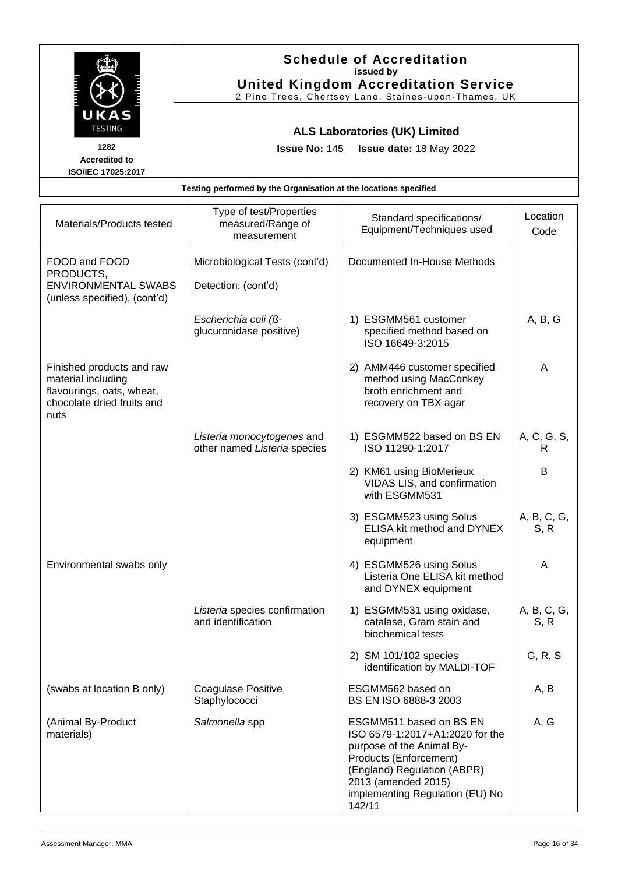|                                                                                          |                                                                  | <b>Schedule of Accreditation</b><br>issued by<br><b>United Kingdom Accreditation Service</b><br>2 Pine Trees, Chertsey Lane, Staines-upon-Thames, UK |                  |
|------------------------------------------------------------------------------------------|------------------------------------------------------------------|------------------------------------------------------------------------------------------------------------------------------------------------------|------------------|
| UKAS<br><b>TESTING</b>                                                                   |                                                                  | <b>ALS Laboratories (UK) Limited</b>                                                                                                                 |                  |
| 1282<br><b>Accredited to</b>                                                             | <b>Issue No: 145</b>                                             | Issue date: 18 May 2022                                                                                                                              |                  |
| ISO/IEC 17025:2017                                                                       |                                                                  |                                                                                                                                                      |                  |
|                                                                                          | Testing performed by the Organisation at the locations specified |                                                                                                                                                      |                  |
| Materials/Products tested                                                                | Type of test/Properties<br>measured/Range of<br>measurement      | Standard specifications/<br>Equipment/Techniques used                                                                                                | Location<br>Code |
| FOOD and FOOD<br>PRODUCTS,<br><b>ENVIRONMENTAL SWABS</b><br>(unless specified), (cont'd) | Microbiological Tests (cont'd)<br>Detection: (cont'd)            | Documented In-House Methods                                                                                                                          |                  |
|                                                                                          | Escherichia coli (ß-<br>glucuronidase positive)                  | 1) ESGMM561 customer<br>specified method based on<br>ISO 16649-3:2015                                                                                | A, B, G          |
| Finished products and raw<br>material including                                          |                                                                  | AMM446 customer specified<br>method using MacConkey                                                                                                  | A                |

*Listeria monocytogenes* and other named *Listeria* species

*Listeria* species confirmation

and identification

**Staphylococci** 

(swabs at location B only) Coagulase Positive

broth enrichment and recovery on TBX agar

ISO 11290-1:2017

with ESGMM531

equipment

2) KM61 using BioMerieux

3) ESGMM523 using Solus

4) ESGMM526 using Solus

1) ESGMM531 using oxidase, catalase, Gram stain and

identification by MALDI-TOF

ISO 6579-1:2017+A1:2020 for the

implementing Regulation (EU) No

biochemical tests

2) SM 101/102 species

ESGMM562 based on BS EN ISO 6888-3 2003

purpose of the Animal By-Products (Enforcement) (England) Regulation (ABPR) 2013 (amended 2015)

Salmonella spp **ESGMM511** based on BS EN

142/11

1) ESGMM522 based on BS EN

VIDAS LIS, and confirmation

ELISA kit method and DYNEX

Listeria One ELISA kit method and DYNEX equipment

(Animal By-Product

materials)

flavourings, oats, wheat, chocolate dried fruits and

Environmental swabs only

nuts

A, C, G, S, R

B

A, B, C, G, S, R

A

A, B, C, G, S, R

G, R, S

A, B

A, G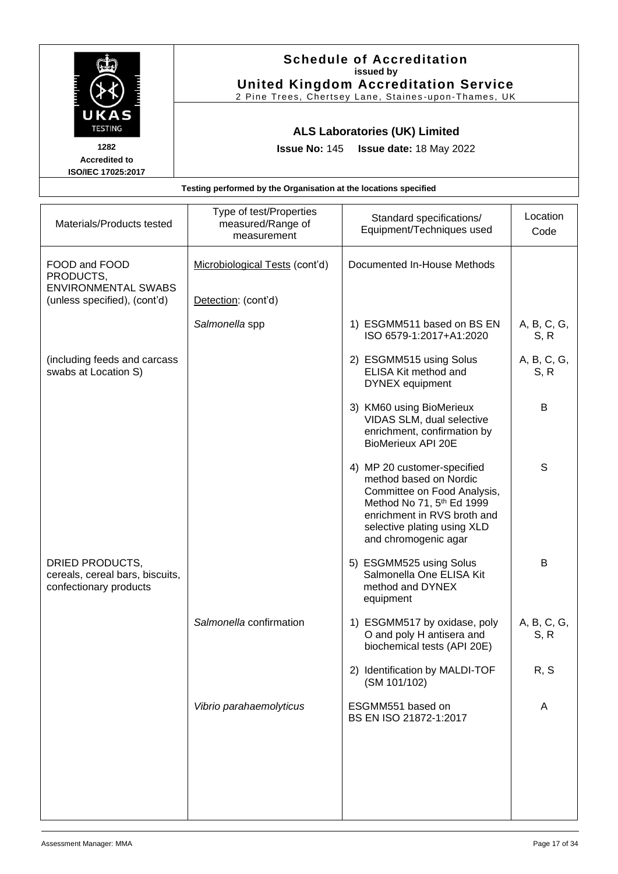|                                                                              | <b>Schedule of Accreditation</b><br>issued by<br><b>United Kingdom Accreditation Service</b><br>2 Pine Trees, Chertsey Lane, Staines-upon-Thames, UK |                                                                                                                                                                                                         |                     |
|------------------------------------------------------------------------------|------------------------------------------------------------------------------------------------------------------------------------------------------|---------------------------------------------------------------------------------------------------------------------------------------------------------------------------------------------------------|---------------------|
| UKAS<br><b>TESTING</b><br>1282<br><b>Accredited to</b><br>ISO/IEC 17025:2017 | <b>Issue No: 145</b>                                                                                                                                 | <b>ALS Laboratories (UK) Limited</b><br>Issue date: 18 May 2022                                                                                                                                         |                     |
|                                                                              | Testing performed by the Organisation at the locations specified                                                                                     |                                                                                                                                                                                                         |                     |
| Materials/Products tested                                                    | Type of test/Properties<br>measured/Range of<br>measurement                                                                                          | Standard specifications/<br>Equipment/Techniques used                                                                                                                                                   | Location<br>Code    |
| FOOD and FOOD<br>PRODUCTS,<br><b>ENVIRONMENTAL SWABS</b>                     | Microbiological Tests (cont'd)                                                                                                                       | Documented In-House Methods                                                                                                                                                                             |                     |
| (unless specified), (cont'd)                                                 | Detection: (cont'd)                                                                                                                                  |                                                                                                                                                                                                         |                     |
|                                                                              | Salmonella spp                                                                                                                                       | 1) ESGMM511 based on BS EN<br>ISO 6579-1:2017+A1:2020                                                                                                                                                   | A, B, C, G,<br>S, R |
| (including feeds and carcass<br>swabs at Location S)                         |                                                                                                                                                      | 2) ESGMM515 using Solus<br>ELISA Kit method and<br><b>DYNEX</b> equipment                                                                                                                               | A, B, C, G,<br>S, R |
|                                                                              |                                                                                                                                                      | 3) KM60 using BioMerieux<br>VIDAS SLM, dual selective<br>enrichment, confirmation by<br><b>BioMerieux API 20E</b>                                                                                       | В                   |
|                                                                              |                                                                                                                                                      | 4) MP 20 customer-specified<br>method based on Nordic<br>Committee on Food Analysis,<br>Method No 71, 5th Ed 1999<br>enrichment in RVS broth and<br>selective plating using XLD<br>and chromogenic agar | S                   |
| DRIED PRODUCTS,<br>cereals, cereal bars, biscuits,<br>confectionary products |                                                                                                                                                      | 5) ESGMM525 using Solus<br>Salmonella One ELISA Kit<br>method and DYNEX<br>equipment                                                                                                                    | B                   |
|                                                                              | Salmonella confirmation                                                                                                                              | 1) ESGMM517 by oxidase, poly<br>O and poly H antisera and<br>biochemical tests (API 20E)                                                                                                                | A, B, C, G,<br>S, R |
|                                                                              |                                                                                                                                                      | 2) Identification by MALDI-TOF<br>(SM 101/102)                                                                                                                                                          | R, S                |
|                                                                              | Vibrio parahaemolyticus                                                                                                                              | ESGMM551 based on<br>BS EN ISO 21872-1:2017                                                                                                                                                             | A                   |
|                                                                              |                                                                                                                                                      |                                                                                                                                                                                                         |                     |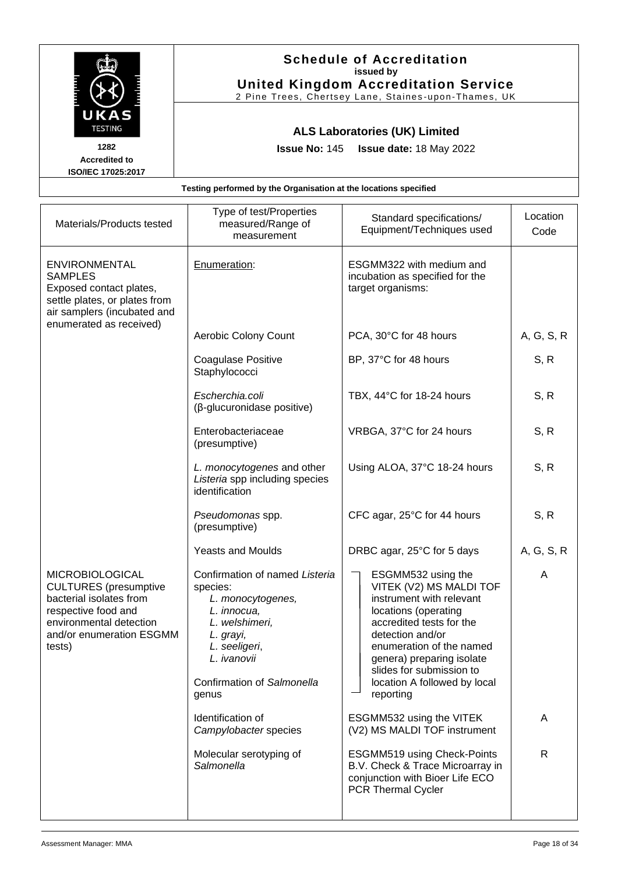|                                                                                                                                                              | <b>Schedule of Accreditation</b><br>issued by<br><b>United Kingdom Accreditation Service</b><br>2 Pine Trees, Chertsey Lane, Staines-upon-Thames, UK |                                                                                  |                  |  |
|--------------------------------------------------------------------------------------------------------------------------------------------------------------|------------------------------------------------------------------------------------------------------------------------------------------------------|----------------------------------------------------------------------------------|------------------|--|
| UKAS<br><b>TESTING</b><br>1282<br><b>Accredited to</b><br>ISO/IEC 17025:2017                                                                                 | <b>ALS Laboratories (UK) Limited</b><br><b>Issue No: 145</b><br>Issue date: 18 May 2022                                                              |                                                                                  |                  |  |
|                                                                                                                                                              | Testing performed by the Organisation at the locations specified                                                                                     |                                                                                  |                  |  |
| Materials/Products tested                                                                                                                                    | Type of test/Properties<br>measured/Range of<br>measurement                                                                                          | Standard specifications/<br>Equipment/Techniques used                            | Location<br>Code |  |
| <b>ENVIRONMENTAL</b><br><b>SAMPLES</b><br>Exposed contact plates,<br>settle plates, or plates from<br>air samplers (incubated and<br>enumerated as received) | Enumeration:                                                                                                                                         | ESGMM322 with medium and<br>incubation as specified for the<br>target organisms: |                  |  |
|                                                                                                                                                              | Aerobic Colony Count                                                                                                                                 | PCA, 30°C for 48 hours                                                           | A, G, S, R       |  |
|                                                                                                                                                              | Coagulase Positive<br>Staphylococci                                                                                                                  | BP, 37°C for 48 hours                                                            | S, R             |  |
|                                                                                                                                                              | Escherchia.coli<br>(β-glucuronidase positive)                                                                                                        | TBX, 44°C for 18-24 hours                                                        | S, R             |  |
|                                                                                                                                                              | Enterobacteriaceae<br>(presumptive)                                                                                                                  | VRBGA, 37°C for 24 hours                                                         | S, R             |  |
|                                                                                                                                                              | L. monocytogenes and other<br>Listeria spp including species<br>identification                                                                       | Using ALOA, 37°C 18-24 hours                                                     | S, R             |  |
|                                                                                                                                                              | Pseudomonas spp.<br>(presumptive)                                                                                                                    | CFC agar, 25°C for 44 hours                                                      | S, R             |  |
|                                                                                                                                                              | <b>Yeasts and Moulds</b>                                                                                                                             | DRBC agar, 25°C for 5 days                                                       | A, G, S, R       |  |

MICROBIOLOGICAL CULTURES (presumptive bacterial isolates from respective food and environmental detection and/or enumeration ESGMM tests) Confirmation of named *Listeria* species: *L. monocytogenes, L. innocua, L. welshimeri, L. grayi, L. seeligeri*, *L. ivanovii* Confirmation of *Salmonella*  genus ESGMM532 using the VITEK (V2) MS MALDI TOF instrument with relevant locations (operating accredited tests for the detection and/or enumeration of the named genera) preparing isolate slides for submission to location A followed by local reporting A Identification of *Campylobacter* species ESGMM532 using the VITEK (V2) MS MALDI TOF instrument A Molecular serotyping of *Salmonella* ESGMM519 using Check-Points B.V. Check & Trace Microarray in conjunction with Bioer Life ECO PCR Thermal Cycler R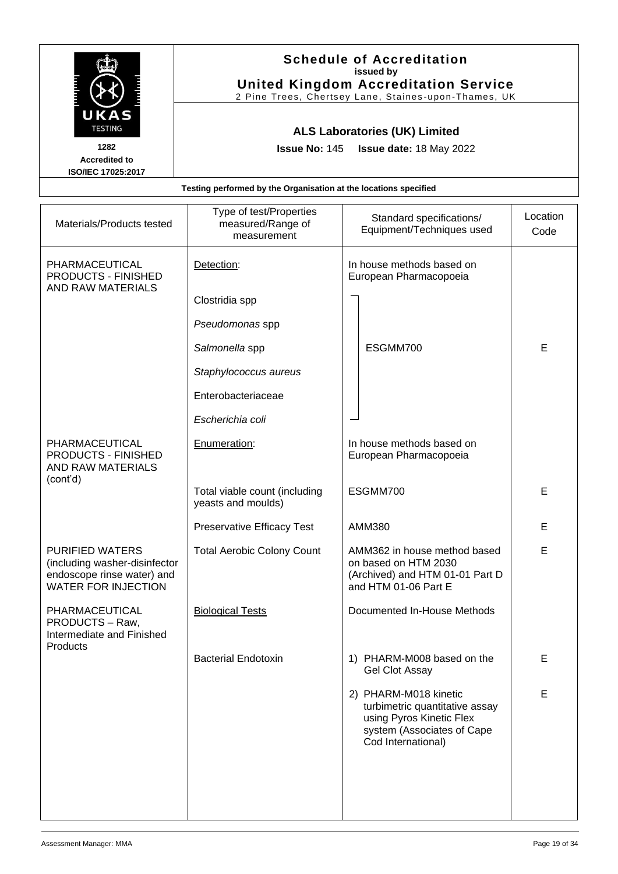|                                                                                                                     | <b>Schedule of Accreditation</b><br>issued by<br><b>United Kingdom Accreditation Service</b><br>2 Pine Trees, Chertsey Lane, Staines-upon-Thames, UK |                                                                                                                                         |                  |
|---------------------------------------------------------------------------------------------------------------------|------------------------------------------------------------------------------------------------------------------------------------------------------|-----------------------------------------------------------------------------------------------------------------------------------------|------------------|
| UKAS<br><b>TESTING</b><br>1282<br><b>Accredited to</b><br>ISO/IEC 17025:2017                                        | <b>ALS Laboratories (UK) Limited</b><br><b>Issue No: 145</b><br>Issue date: 18 May 2022                                                              |                                                                                                                                         |                  |
|                                                                                                                     | Testing performed by the Organisation at the locations specified                                                                                     |                                                                                                                                         |                  |
| Materials/Products tested                                                                                           | Type of test/Properties<br>Standard specifications/<br>measured/Range of<br>Equipment/Techniques used<br>measurement                                 |                                                                                                                                         | Location<br>Code |
| PHARMACEUTICAL<br>PRODUCTS - FINISHED<br>AND RAW MATERIALS                                                          | Detection:                                                                                                                                           | In house methods based on<br>European Pharmacopoeia                                                                                     |                  |
|                                                                                                                     | Clostridia spp                                                                                                                                       |                                                                                                                                         |                  |
|                                                                                                                     | Pseudomonas spp                                                                                                                                      |                                                                                                                                         |                  |
|                                                                                                                     | Salmonella spp                                                                                                                                       | ESGMM700                                                                                                                                | E                |
|                                                                                                                     | Staphylococcus aureus                                                                                                                                |                                                                                                                                         |                  |
|                                                                                                                     | Enterobacteriaceae                                                                                                                                   |                                                                                                                                         |                  |
|                                                                                                                     | Escherichia coli                                                                                                                                     |                                                                                                                                         |                  |
| PHARMACEUTICAL<br>PRODUCTS - FINISHED<br><b>AND RAW MATERIALS</b>                                                   | Enumeration:                                                                                                                                         | In house methods based on<br>European Pharmacopoeia                                                                                     |                  |
| (cont'd)                                                                                                            | Total viable count (including<br>yeasts and moulds)                                                                                                  | ESGMM700                                                                                                                                | E                |
|                                                                                                                     | <b>Preservative Efficacy Test</b>                                                                                                                    | <b>AMM380</b>                                                                                                                           | Е                |
| <b>PURIFIED WATERS</b><br>(including washer-disinfector<br>endoscope rinse water) and<br><b>WATER FOR INJECTION</b> | <b>Total Aerobic Colony Count</b>                                                                                                                    | AMM362 in house method based<br>on based on HTM 2030<br>(Archived) and HTM 01-01 Part D<br>and HTM 01-06 Part E                         | E                |
| PHARMACEUTICAL<br>PRODUCTS - Raw,<br>Intermediate and Finished<br>Products                                          | <b>Biological Tests</b>                                                                                                                              | Documented In-House Methods                                                                                                             |                  |
|                                                                                                                     | <b>Bacterial Endotoxin</b>                                                                                                                           | 1) PHARM-M008 based on the<br><b>Gel Clot Assay</b>                                                                                     | Е                |
|                                                                                                                     |                                                                                                                                                      | 2) PHARM-M018 kinetic<br>turbimetric quantitative assay<br>using Pyros Kinetic Flex<br>system (Associates of Cape<br>Cod International) | E                |
|                                                                                                                     |                                                                                                                                                      |                                                                                                                                         |                  |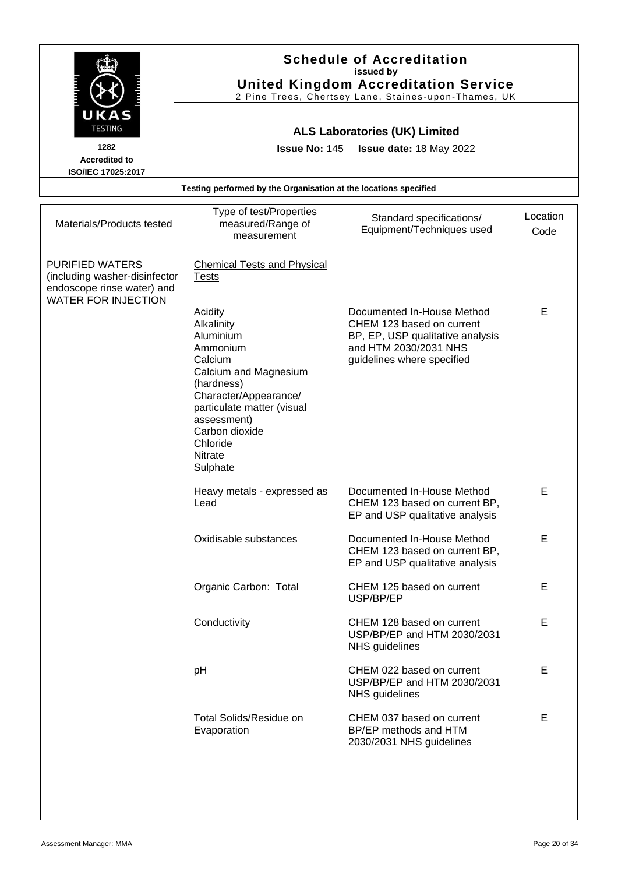|                                                                                                                     | <b>Schedule of Accreditation</b><br>issued by<br><b>United Kingdom Accreditation Service</b><br>2 Pine Trees, Chertsey Lane, Staines-upon-Thames, UK                                                                                                                                     |                                                                                                                                                    |                  |  |
|---------------------------------------------------------------------------------------------------------------------|------------------------------------------------------------------------------------------------------------------------------------------------------------------------------------------------------------------------------------------------------------------------------------------|----------------------------------------------------------------------------------------------------------------------------------------------------|------------------|--|
| UKAS<br><b>TESTING</b><br>1282<br><b>Accredited to</b><br>ISO/IEC 17025:2017                                        | <b>Issue No: 145</b>                                                                                                                                                                                                                                                                     | <b>ALS Laboratories (UK) Limited</b><br>Issue date: 18 May 2022                                                                                    |                  |  |
|                                                                                                                     | Testing performed by the Organisation at the locations specified                                                                                                                                                                                                                         |                                                                                                                                                    |                  |  |
| Materials/Products tested                                                                                           | Type of test/Properties<br>measured/Range of<br>measurement                                                                                                                                                                                                                              | Standard specifications/<br>Equipment/Techniques used                                                                                              | Location<br>Code |  |
| <b>PURIFIED WATERS</b><br>(including washer-disinfector<br>endoscope rinse water) and<br><b>WATER FOR INJECTION</b> | <b>Chemical Tests and Physical</b><br><b>Tests</b><br>Acidity<br>Alkalinity<br>Aluminium<br>Ammonium<br>Calcium<br>Calcium and Magnesium<br>(hardness)<br>Character/Appearance/<br>particulate matter (visual<br>assessment)<br>Carbon dioxide<br>Chloride<br><b>Nitrate</b><br>Sulphate | Documented In-House Method<br>CHEM 123 based on current<br>BP, EP, USP qualitative analysis<br>and HTM 2030/2031 NHS<br>guidelines where specified | E                |  |
|                                                                                                                     | Heavy metals - expressed as<br>Lead                                                                                                                                                                                                                                                      | Documented In-House Method<br>CHEM 123 based on current BP,<br>EP and USP qualitative analysis                                                     | E                |  |
|                                                                                                                     | Oxidisable substances                                                                                                                                                                                                                                                                    | Documented In-House Method                                                                                                                         | E                |  |

Organic Carbon: Total | CHEM 125 based on current

Conductivity Conductivity CHEM 128 based on current

pH cHEM 022 based on current

Total Solids/Residue on

Evaporation

USP/BP/EP

NHS guidelines

NHS guidelines

CHEM 123 based on current BP, EP and USP qualitative analysis

USP/BP/EP and HTM 2030/2031

USP/BP/EP and HTM 2030/2031

CHEM 037 based on current BP/EP methods and HTM 2030/2031 NHS guidelines

E

E

E

E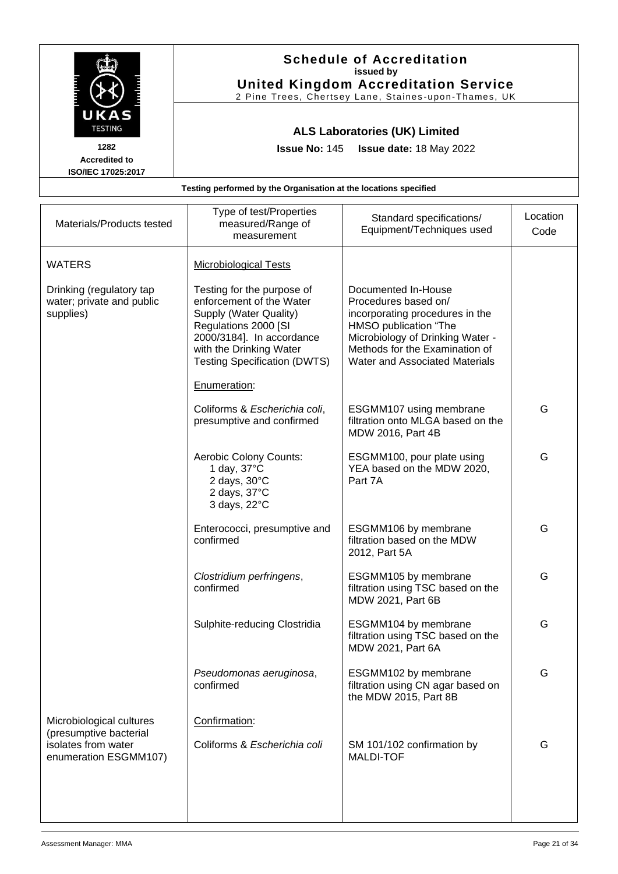|                                                                    | <b>Schedule of Accreditation</b><br>issued by<br><b>United Kingdom Accreditation Service</b><br>2 Pine Trees, Chertsey Lane, Staines-upon-Thames, UK |                                                                                |                  |
|--------------------------------------------------------------------|------------------------------------------------------------------------------------------------------------------------------------------------------|--------------------------------------------------------------------------------|------------------|
| UKAS<br><b>TESTING</b><br>1282                                     | <b>ALS Laboratories (UK) Limited</b><br><b>Issue No: 145</b><br><b>Issue date: 18 May 2022</b>                                                       |                                                                                |                  |
| <b>Accredited to</b><br>ISO/IEC 17025:2017                         |                                                                                                                                                      |                                                                                |                  |
|                                                                    | Testing performed by the Organisation at the locations specified                                                                                     |                                                                                |                  |
| Materials/Products tested                                          | Type of test/Properties<br>measured/Range of<br>measurement                                                                                          | Standard specifications/<br>Equipment/Techniques used                          | Location<br>Code |
| <b>WATERS</b>                                                      | <b>Microbiological Tests</b>                                                                                                                         |                                                                                |                  |
| Drinking (regulatory tap<br>water; private and public<br>supplies) | Testing for the purpose of<br>enforcement of the Water<br>Supply (Water Quality)                                                                     | Documented In-House<br>Procedures based on/<br>incorporating procedures in the |                  |

| Materials/Products tested                                          | measured/Range of<br>measurement                                                                                                                                                                                        | Equipment/Techniques used                                                                                                                                                                                              | Code |
|--------------------------------------------------------------------|-------------------------------------------------------------------------------------------------------------------------------------------------------------------------------------------------------------------------|------------------------------------------------------------------------------------------------------------------------------------------------------------------------------------------------------------------------|------|
| <b>WATERS</b>                                                      | <b>Microbiological Tests</b>                                                                                                                                                                                            |                                                                                                                                                                                                                        |      |
| Drinking (regulatory tap<br>water; private and public<br>supplies) | Testing for the purpose of<br>enforcement of the Water<br>Supply (Water Quality)<br>Regulations 2000 [SI<br>2000/3184]. In accordance<br>with the Drinking Water<br><b>Testing Specification (DWTS)</b><br>Enumeration: | Documented In-House<br>Procedures based on/<br>incorporating procedures in the<br>HMSO publication "The<br>Microbiology of Drinking Water -<br>Methods for the Examination of<br><b>Water and Associated Materials</b> |      |
|                                                                    | Coliforms & Escherichia coli,<br>presumptive and confirmed                                                                                                                                                              | ESGMM107 using membrane<br>filtration onto MLGA based on the<br>MDW 2016, Part 4B                                                                                                                                      | G    |
|                                                                    | Aerobic Colony Counts:<br>1 day, $37^{\circ}$ C<br>2 days, $30^{\circ}$ C<br>2 days, 37°C<br>3 days, 22°C                                                                                                               | ESGMM100, pour plate using<br>YEA based on the MDW 2020,<br>Part 7A                                                                                                                                                    | G    |
|                                                                    | Enterococci, presumptive and<br>confirmed                                                                                                                                                                               | ESGMM106 by membrane<br>filtration based on the MDW<br>2012, Part 5A                                                                                                                                                   | G    |
|                                                                    | Clostridium perfringens,<br>confirmed                                                                                                                                                                                   | ESGMM105 by membrane<br>filtration using TSC based on the<br>MDW 2021, Part 6B                                                                                                                                         | G    |
|                                                                    | Sulphite-reducing Clostridia                                                                                                                                                                                            | ESGMM104 by membrane<br>filtration using TSC based on the<br>MDW 2021, Part 6A                                                                                                                                         | G    |
|                                                                    | Pseudomonas aeruginosa,<br>confirmed                                                                                                                                                                                    | ESGMM102 by membrane<br>filtration using CN agar based on<br>the MDW 2015, Part 8B                                                                                                                                     | G    |
| Microbiological cultures<br>(presumptive bacterial                 | Confirmation:                                                                                                                                                                                                           |                                                                                                                                                                                                                        |      |
| isolates from water<br>enumeration ESGMM107)                       | Coliforms & Escherichia coli                                                                                                                                                                                            | SM 101/102 confirmation by<br><b>MALDI-TOF</b>                                                                                                                                                                         | G    |
|                                                                    |                                                                                                                                                                                                                         |                                                                                                                                                                                                                        |      |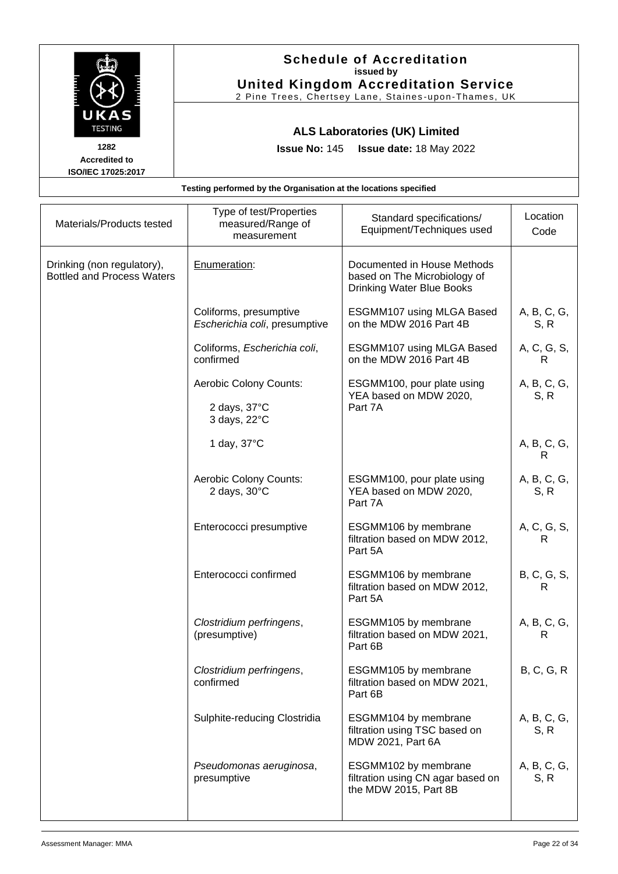|                                                                  | <b>Schedule of Accreditation</b><br>issued by<br><b>United Kingdom Accreditation Service</b><br>2 Pine Trees, Chertsey Lane, Staines-upon-Thames, UK |  |  |  |
|------------------------------------------------------------------|------------------------------------------------------------------------------------------------------------------------------------------------------|--|--|--|
| UKAS<br><b>TESTING</b><br>1282<br><b>Accredited to</b>           | <b>ALS Laboratories (UK) Limited</b><br><b>Issue No: 145 Issue date: 18 May 2022</b>                                                                 |  |  |  |
| <b>ISO/IEC 17025:2017</b>                                        |                                                                                                                                                      |  |  |  |
| Testing performed by the Organisation at the locations specified |                                                                                                                                                      |  |  |  |
|                                                                  | Tyne of test/Properties                                                                                                                              |  |  |  |

| Materials/Products tested                                       | Type of test/Properties<br>measured/Range of<br>measurement | Standard specifications/<br>Equipment/Techniques used                                           | Location<br>Code    |
|-----------------------------------------------------------------|-------------------------------------------------------------|-------------------------------------------------------------------------------------------------|---------------------|
| Drinking (non regulatory),<br><b>Bottled and Process Waters</b> | Enumeration:                                                | Documented in House Methods<br>based on The Microbiology of<br><b>Drinking Water Blue Books</b> |                     |
|                                                                 | Coliforms, presumptive<br>Escherichia coli, presumptive     | ESGMM107 using MLGA Based<br>on the MDW 2016 Part 4B                                            | A, B, C, G,<br>S, R |
|                                                                 | Coliforms, Escherichia coli,<br>confirmed                   | ESGMM107 using MLGA Based<br>on the MDW 2016 Part 4B                                            | A, C, G, S,<br>R    |
|                                                                 | Aerobic Colony Counts:                                      | ESGMM100, pour plate using<br>YEA based on MDW 2020,                                            | A, B, C, G,<br>S, R |
|                                                                 | 2 days, $37^{\circ}$ C<br>3 days, 22°C                      | Part 7A                                                                                         |                     |
|                                                                 | 1 day, 37°C                                                 |                                                                                                 | A, B, C, G,<br>R    |
|                                                                 | Aerobic Colony Counts:<br>2 days, 30°C                      | ESGMM100, pour plate using<br>YEA based on MDW 2020,<br>Part 7A                                 | A, B, C, G,<br>S, R |
|                                                                 | Enterococci presumptive                                     | ESGMM106 by membrane<br>filtration based on MDW 2012,<br>Part 5A                                | A, C, G, S,<br>R    |
|                                                                 | Enterococci confirmed                                       | ESGMM106 by membrane<br>filtration based on MDW 2012,<br>Part 5A                                | B, C, G, S,<br>R    |
|                                                                 | Clostridium perfringens,<br>(presumptive)                   | ESGMM105 by membrane<br>filtration based on MDW 2021,<br>Part 6B                                | A, B, C, G,<br>R    |
|                                                                 | Clostridium perfringens,<br>confirmed                       | ESGMM105 by membrane<br>filtration based on MDW 2021,<br>Part 6B                                | B, C, G, R          |
|                                                                 | Sulphite-reducing Clostridia                                | ESGMM104 by membrane<br>filtration using TSC based on<br>MDW 2021, Part 6A                      | A, B, C, G,<br>S, R |
|                                                                 | Pseudomonas aeruginosa,<br>presumptive                      | ESGMM102 by membrane<br>filtration using CN agar based on<br>the MDW 2015, Part 8B              | A, B, C, G,<br>S, R |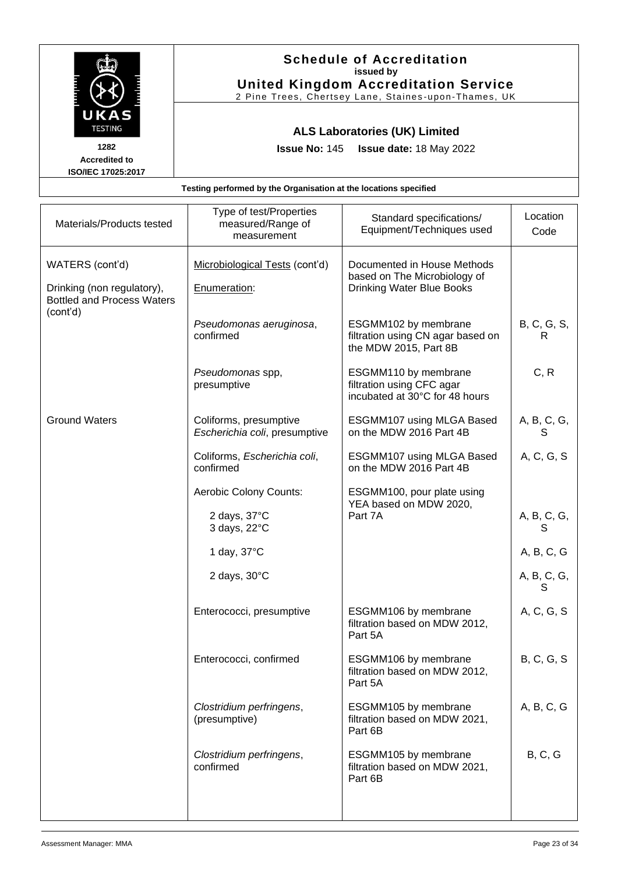|                                                   | <b>Schedule of Accreditation</b><br>issued by                                                       |
|---------------------------------------------------|-----------------------------------------------------------------------------------------------------|
|                                                   | <b>United Kingdom Accreditation Service</b><br>2 Pine Trees, Chertsey Lane, Staines-upon-Thames, UK |
| UKAS<br><b>TESTING</b>                            | <b>ALS Laboratories (UK) Limited</b>                                                                |
| 1282                                              | <b>Issue No: 145 Issue date: 18 May 2022</b>                                                        |
| <b>Accredited to</b><br><b>ISO/IEC 17025:2017</b> |                                                                                                     |
|                                                   | Testing performed by the Organisation at the locations specified                                    |

| Materials/Products tested                                                          | Type of test/Properties<br>measured/Range of<br>measurement | Standard specifications/<br>Equipment/Techniques used                                           | Location<br>Code  |
|------------------------------------------------------------------------------------|-------------------------------------------------------------|-------------------------------------------------------------------------------------------------|-------------------|
| WATERS (cont'd)<br>Drinking (non regulatory),<br><b>Bottled and Process Waters</b> | Microbiological Tests (cont'd)<br>Enumeration:              | Documented in House Methods<br>based on The Microbiology of<br><b>Drinking Water Blue Books</b> |                   |
| (cont'd)                                                                           | Pseudomonas aeruginosa,<br>confirmed                        | ESGMM102 by membrane<br>filtration using CN agar based on<br>the MDW 2015, Part 8B              | B, C, G, S,<br>R  |
|                                                                                    | Pseudomonas spp,<br>presumptive                             | ESGMM110 by membrane<br>filtration using CFC agar<br>incubated at 30°C for 48 hours             | C, R              |
| <b>Ground Waters</b>                                                               | Coliforms, presumptive<br>Escherichia coli, presumptive     | ESGMM107 using MLGA Based<br>on the MDW 2016 Part 4B                                            | A, B, C, G,<br>S  |
|                                                                                    | Coliforms, Escherichia coli,<br>confirmed                   | ESGMM107 using MLGA Based<br>on the MDW 2016 Part 4B                                            | A, C, G, S        |
|                                                                                    | Aerobic Colony Counts:                                      | ESGMM100, pour plate using<br>YEA based on MDW 2020,                                            |                   |
|                                                                                    | 2 days, 37°C<br>3 days, 22°C                                | Part 7A                                                                                         | A, B, C, G,<br>S  |
|                                                                                    | 1 day, 37°C                                                 |                                                                                                 | A, B, C, G        |
|                                                                                    | 2 days, $30^{\circ}$ C                                      |                                                                                                 | A, B, C, G,<br>S  |
|                                                                                    | Enterococci, presumptive                                    | ESGMM106 by membrane<br>filtration based on MDW 2012,<br>Part 5A                                | A, C, G, S        |
|                                                                                    | Enterococci, confirmed                                      | ESGMM106 by membrane<br>filtration based on MDW 2012,<br>Part 5A                                | <b>B, C, G, S</b> |
|                                                                                    | Clostridium perfringens,<br>(presumptive)                   | ESGMM105 by membrane<br>filtration based on MDW 2021,<br>Part 6B                                | A, B, C, G        |
|                                                                                    | Clostridium perfringens,<br>confirmed                       | ESGMM105 by membrane<br>filtration based on MDW 2021,<br>Part 6B                                | B, C, G           |
|                                                                                    |                                                             |                                                                                                 |                   |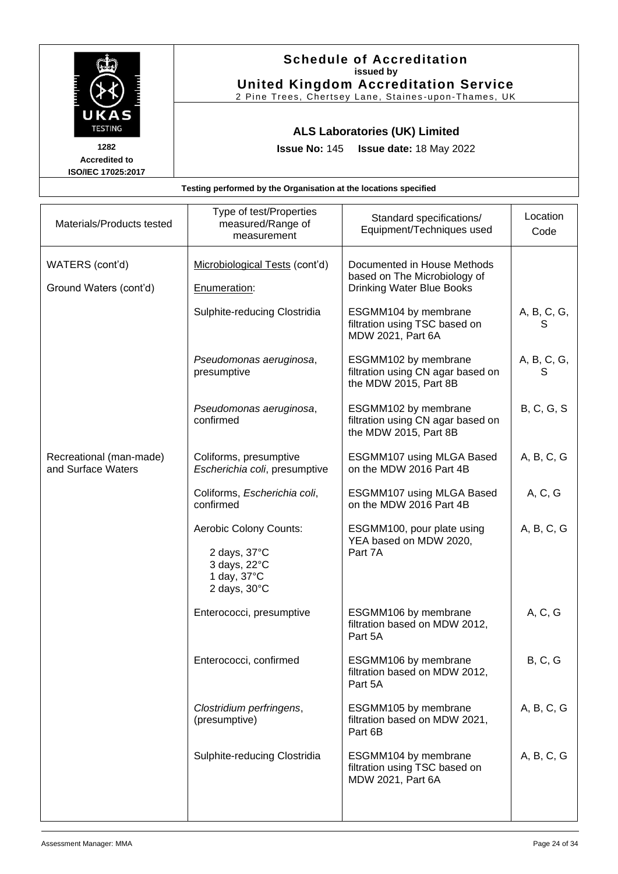

| Materials/Products tested                     | Type of test/Properties<br>measured/Range of<br>measurement                                               | Standard specifications/<br>Equipment/Techniques used                                    | Location<br>Code  |
|-----------------------------------------------|-----------------------------------------------------------------------------------------------------------|------------------------------------------------------------------------------------------|-------------------|
| WATERS (cont'd)<br>Ground Waters (cont'd)     | Microbiological Tests (cont'd)<br>Enumeration:                                                            | Documented in House Methods<br>based on The Microbiology of<br>Drinking Water Blue Books |                   |
|                                               | Sulphite-reducing Clostridia                                                                              | ESGMM104 by membrane<br>filtration using TSC based on<br>MDW 2021, Part 6A               | A, B, C, G,<br>S  |
|                                               | Pseudomonas aeruginosa,<br>presumptive                                                                    | ESGMM102 by membrane<br>filtration using CN agar based on<br>the MDW 2015, Part 8B       | A, B, C, G,<br>S  |
|                                               | Pseudomonas aeruginosa,<br>confirmed                                                                      | ESGMM102 by membrane<br>filtration using CN agar based on<br>the MDW 2015, Part 8B       | <b>B, C, G, S</b> |
| Recreational (man-made)<br>and Surface Waters | Coliforms, presumptive<br>Escherichia coli, presumptive                                                   | ESGMM107 using MLGA Based<br>on the MDW 2016 Part 4B                                     | A, B, C, G        |
|                                               | Coliforms, Escherichia coli,<br>confirmed                                                                 | ESGMM107 using MLGA Based<br>on the MDW 2016 Part 4B                                     | A, C, G           |
|                                               | Aerobic Colony Counts:<br>2 days, $37^{\circ}$ C<br>3 days, 22°C<br>1 day, 37°C<br>2 days, $30^{\circ}$ C | ESGMM100, pour plate using<br>YEA based on MDW 2020,<br>Part 7A                          | A, B, C, G        |
|                                               | Enterococci, presumptive                                                                                  | ESGMM106 by membrane<br>filtration based on MDW 2012,<br>Part 5A                         | A, C, G           |
|                                               | Enterococci, confirmed                                                                                    | ESGMM106 by membrane<br>filtration based on MDW 2012,<br>Part 5A                         | B, C, G           |
|                                               | Clostridium perfringens,<br>(presumptive)                                                                 | ESGMM105 by membrane<br>filtration based on MDW 2021,<br>Part 6B                         | A, B, C, G        |
|                                               | Sulphite-reducing Clostridia                                                                              | ESGMM104 by membrane<br>filtration using TSC based on<br>MDW 2021, Part 6A               | A, B, C, G        |
|                                               |                                                                                                           |                                                                                          |                   |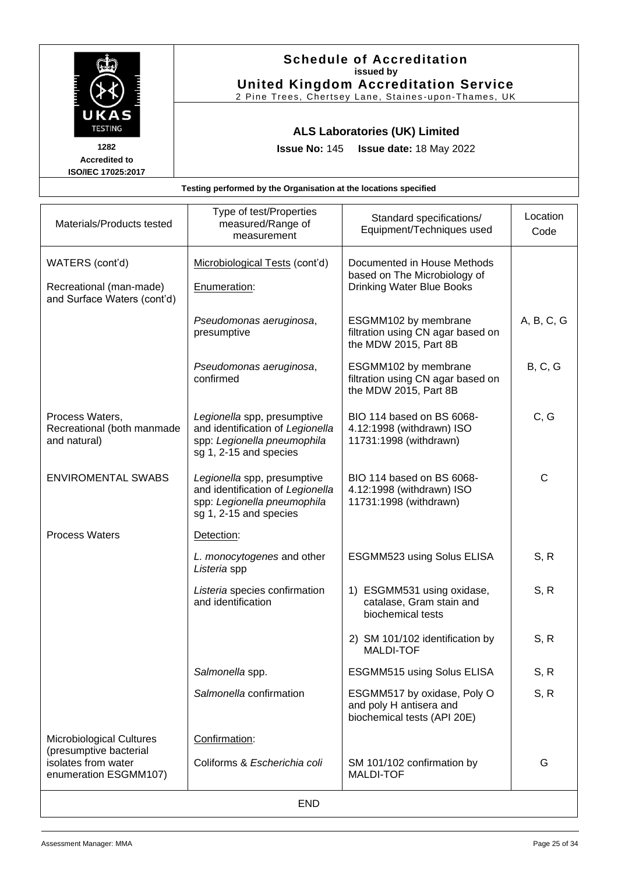

| Materials/Products tested                                                 | Type of test/Properties<br>measured/Range of<br>measurement                                                              | Standard specifications/<br>Equipment/Techniques used                                           | Location<br>Code |
|---------------------------------------------------------------------------|--------------------------------------------------------------------------------------------------------------------------|-------------------------------------------------------------------------------------------------|------------------|
| WATERS (cont'd)<br>Recreational (man-made)<br>and Surface Waters (cont'd) | Microbiological Tests (cont'd)<br>Enumeration:                                                                           | Documented in House Methods<br>based on The Microbiology of<br><b>Drinking Water Blue Books</b> |                  |
|                                                                           | Pseudomonas aeruginosa,<br>presumptive                                                                                   | ESGMM102 by membrane<br>filtration using CN agar based on<br>the MDW 2015, Part 8B              | A, B, C, G       |
|                                                                           | Pseudomonas aeruginosa,<br>confirmed                                                                                     | ESGMM102 by membrane<br>filtration using CN agar based on<br>the MDW 2015, Part 8B              | B, C, G          |
| Process Waters,<br>Recreational (both manmade<br>and natural)             | Legionella spp, presumptive<br>and identification of Legionella<br>spp: Legionella pneumophila<br>sg 1, 2-15 and species | BIO 114 based on BS 6068-<br>4.12:1998 (withdrawn) ISO<br>11731:1998 (withdrawn)                | C, G             |
| <b>ENVIROMENTAL SWABS</b>                                                 | Legionella spp, presumptive<br>and identification of Legionella<br>spp: Legionella pneumophila<br>sg 1, 2-15 and species | BIO 114 based on BS 6068-<br>4.12:1998 (withdrawn) ISO<br>11731:1998 (withdrawn)                | $\mathsf{C}$     |
| <b>Process Waters</b>                                                     | Detection:                                                                                                               |                                                                                                 |                  |
|                                                                           | L. monocytogenes and other<br>Listeria spp                                                                               | ESGMM523 using Solus ELISA                                                                      | S, R             |
|                                                                           | Listeria species confirmation<br>and identification                                                                      | 1) ESGMM531 using oxidase,<br>catalase, Gram stain and<br>biochemical tests                     | S, R             |
|                                                                           |                                                                                                                          | 2) SM 101/102 identification by<br><b>MALDI-TOF</b>                                             | S, R             |
|                                                                           | Salmonella spp.                                                                                                          | ESGMM515 using Solus ELISA                                                                      | S, R             |
|                                                                           | Salmonella confirmation                                                                                                  | ESGMM517 by oxidase, Poly O<br>and poly H antisera and<br>biochemical tests (API 20E)           | S, R             |
| <b>Microbiological Cultures</b>                                           | Confirmation:                                                                                                            |                                                                                                 |                  |
| (presumptive bacterial<br>isolates from water<br>enumeration ESGMM107)    | Coliforms & Escherichia coli                                                                                             | SM 101/102 confirmation by<br><b>MALDI-TOF</b>                                                  | G                |
| <b>END</b>                                                                |                                                                                                                          |                                                                                                 |                  |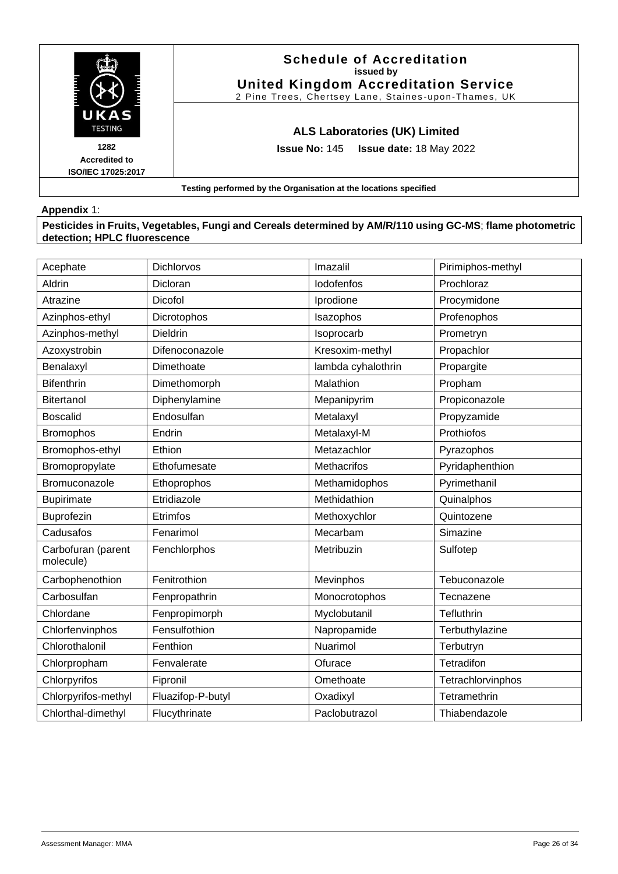

### **Appendix** 1:

**Pesticides in Fruits, Vegetables, Fungi and Cereals determined by AM/R/110 using GC-MS**; **flame photometric detection; HPLC fluorescence**

| Acephate                        | <b>Dichlorvos</b> | Imazalil           | Pirimiphos-methyl |
|---------------------------------|-------------------|--------------------|-------------------|
| Aldrin                          | Dicloran          | lodofenfos         | Prochloraz        |
| Atrazine                        | Dicofol           | Iprodione          | Procymidone       |
| Azinphos-ethyl                  | Dicrotophos       | Isazophos          | Profenophos       |
| Azinphos-methyl                 | <b>Dieldrin</b>   | Isoprocarb         | Prometryn         |
| Azoxystrobin                    | Difenoconazole    | Kresoxim-methyl    | Propachlor        |
| Benalaxyl                       | Dimethoate        | lambda cyhalothrin | Propargite        |
| <b>Bifenthrin</b>               | Dimethomorph      | Malathion          | Propham           |
| <b>Bitertanol</b>               | Diphenylamine     | Mepanipyrim        | Propiconazole     |
| <b>Boscalid</b>                 | Endosulfan        | Metalaxyl          | Propyzamide       |
| <b>Bromophos</b>                | Endrin            | Metalaxyl-M        | Prothiofos        |
| Bromophos-ethyl                 | Ethion            | Metazachlor        | Pyrazophos        |
| Bromopropylate                  | Ethofumesate      | Methacrifos        | Pyridaphenthion   |
| Bromuconazole                   | Ethoprophos       | Methamidophos      | Pyrimethanil      |
| <b>Bupirimate</b>               | Etridiazole       | Methidathion       | Quinalphos        |
| Buprofezin                      | Etrimfos          | Methoxychlor       | Quintozene        |
| Cadusafos                       | Fenarimol         | Mecarbam           | Simazine          |
| Carbofuran (parent<br>molecule) | Fenchlorphos      | Metribuzin         | Sulfotep          |
| Carbophenothion                 | Fenitrothion      | Mevinphos          | Tebuconazole      |
| Carbosulfan                     | Fenpropathrin     | Monocrotophos      | Tecnazene         |
| Chlordane                       | Fenpropimorph     | Myclobutanil       | Tefluthrin        |
| Chlorfenvinphos                 | Fensulfothion     | Napropamide        | Terbuthylazine    |
| Chlorothalonil                  | Fenthion          | Nuarimol           | Terbutryn         |
| Chlorpropham                    | Fenvalerate       | Ofurace            | Tetradifon        |
| Chlorpyrifos                    | Fipronil          | Omethoate          | Tetrachlorvinphos |
| Chlorpyrifos-methyl             | Fluazifop-P-butyl | Oxadixyl           | Tetramethrin      |
| Chlorthal-dimethyl              | Flucythrinate     | Paclobutrazol      | Thiabendazole     |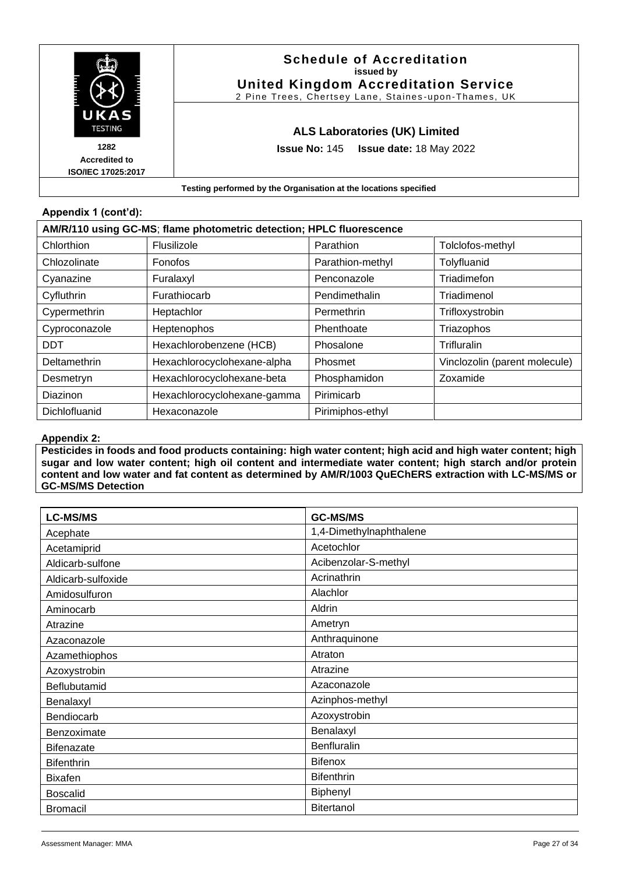

### **Appendix 1 (cont'd):**

| AM/R/110 using GC-MS; flame photometric detection; HPLC fluorescence |                             |                  |                               |
|----------------------------------------------------------------------|-----------------------------|------------------|-------------------------------|
| Chlorthion                                                           | Flusilizole                 | Parathion        | Tolclofos-methyl              |
| Chlozolinate                                                         | Fonofos                     | Parathion-methyl | Tolyfluanid                   |
| Cyanazine                                                            | Furalaxyl                   | Penconazole      | Triadimefon                   |
| Cyfluthrin                                                           | Furathiocarb                | Pendimethalin    | Triadimenol                   |
| Cypermethrin                                                         | Heptachlor                  | Permethrin       | Trifloxystrobin               |
| Cyproconazole                                                        | Heptenophos                 | Phenthoate       | Triazophos                    |
| <b>DDT</b>                                                           | Hexachlorobenzene (HCB)     | Phosalone        | Trifluralin                   |
| Deltamethrin                                                         | Hexachlorocyclohexane-alpha | Phosmet          | Vinclozolin (parent molecule) |
| Desmetryn                                                            | Hexachlorocyclohexane-beta  | Phosphamidon     | Zoxamide                      |
| Diazinon                                                             | Hexachlorocyclohexane-gamma | Pirimicarb       |                               |
| Dichlofluanid                                                        | Hexaconazole                | Pirimiphos-ethyl |                               |

### **Appendix 2:**

**Pesticides in foods and food products containing: high water content; high acid and high water content; high sugar and low water content; high oil content and intermediate water content; high starch and/or protein content and low water and fat content as determined by AM/R/1003 QuEChERS extraction with LC-MS/MS or GC-MS/MS Detection**

| <b>LC-MS/MS</b>    | <b>GC-MS/MS</b>         |
|--------------------|-------------------------|
| Acephate           | 1,4-Dimethylnaphthalene |
| Acetamiprid        | Acetochlor              |
| Aldicarb-sulfone   | Acibenzolar-S-methyl    |
| Aldicarb-sulfoxide | Acrinathrin             |
| Amidosulfuron      | Alachlor                |
| Aminocarb          | Aldrin                  |
| Atrazine           | Ametryn                 |
| Azaconazole        | Anthraquinone           |
| Azamethiophos      | Atraton                 |
| Azoxystrobin       | Atrazine                |
| Beflubutamid       | Azaconazole             |
| Benalaxyl          | Azinphos-methyl         |
| Bendiocarb         | Azoxystrobin            |
| Benzoximate        | Benalaxyl               |
| <b>Bifenazate</b>  | <b>Benfluralin</b>      |
| <b>Bifenthrin</b>  | Bifenox                 |
| <b>Bixafen</b>     | <b>Bifenthrin</b>       |
| <b>Boscalid</b>    | Biphenyl                |
| <b>Bromacil</b>    | <b>Bitertanol</b>       |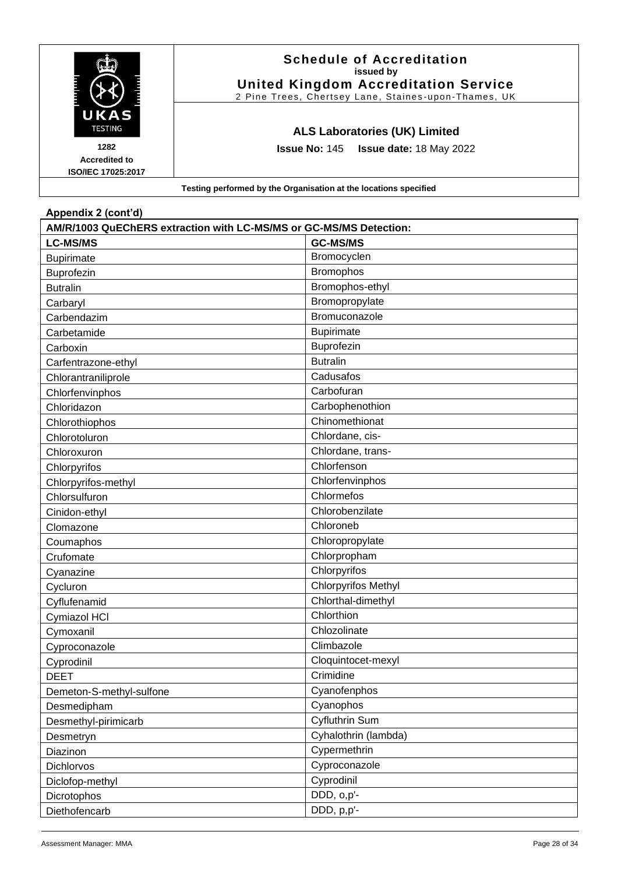|                                                    | <b>Schedule of Accreditation</b><br>issued by<br><b>United Kingdom Accreditation Service</b><br>2 Pine Trees, Chertsey Lane, Staines-upon-Thames, UK |
|----------------------------------------------------|------------------------------------------------------------------------------------------------------------------------------------------------------|
| UKAS<br><b>TESTING</b>                             | <b>ALS Laboratories (UK) Limited</b>                                                                                                                 |
| 1282<br><b>Accredited to</b><br>ISO/IEC 17025:2017 | <b>Issue No: 145 Issue date: 18 May 2022</b>                                                                                                         |
|                                                    | Testing performed by the Organisation at the locations specified                                                                                     |

| Appendix 2 (cont'd)                                                |                            |  |
|--------------------------------------------------------------------|----------------------------|--|
| AM/R/1003 QuEChERS extraction with LC-MS/MS or GC-MS/MS Detection: |                            |  |
| <b>LC-MS/MS</b>                                                    | <b>GC-MS/MS</b>            |  |
| <b>Bupirimate</b>                                                  | Bromocyclen                |  |
| Buprofezin                                                         | Bromophos                  |  |
| <b>Butralin</b>                                                    | Bromophos-ethyl            |  |
| Carbaryl                                                           | Bromopropylate             |  |
| Carbendazim                                                        | Bromuconazole              |  |
| Carbetamide                                                        | <b>Bupirimate</b>          |  |
| Carboxin                                                           | Buprofezin                 |  |
| Carfentrazone-ethyl                                                | <b>Butralin</b>            |  |
| Chlorantraniliprole                                                | Cadusafos                  |  |
| Chlorfenvinphos                                                    | Carbofuran                 |  |
| Chloridazon                                                        | Carbophenothion            |  |
| Chlorothiophos                                                     | Chinomethionat             |  |
| Chlorotoluron                                                      | Chlordane, cis-            |  |
| Chloroxuron                                                        | Chlordane, trans-          |  |
| Chlorpyrifos                                                       | Chlorfenson                |  |
| Chlorpyrifos-methyl                                                | Chlorfenvinphos            |  |
| Chlorsulfuron                                                      | Chlormefos                 |  |
| Cinidon-ethyl                                                      | Chlorobenzilate            |  |
| Clomazone                                                          | Chloroneb                  |  |
| Coumaphos                                                          | Chloropropylate            |  |
| Crufomate                                                          | Chlorpropham               |  |
| Cyanazine                                                          | Chlorpyrifos               |  |
| Cycluron                                                           | <b>Chlorpyrifos Methyl</b> |  |
| Cyflufenamid                                                       | Chlorthal-dimethyl         |  |
| Cymiazol HCI                                                       | Chlorthion                 |  |
| Cymoxanil                                                          | Chlozolinate               |  |
| Cyproconazole                                                      | Climbazole                 |  |
| Cyprodinil                                                         | Cloquintocet-mexyl         |  |
| <b>DEET</b>                                                        | Crimidine                  |  |
| Demeton-S-methyl-sulfone                                           | Cyanofenphos               |  |
| Desmedipham                                                        | Cyanophos                  |  |
| Desmethyl-pirimicarb                                               | Cyfluthrin Sum             |  |
| Desmetryn                                                          | Cyhalothrin (lambda)       |  |
| Diazinon                                                           | Cypermethrin               |  |
| <b>Dichlorvos</b>                                                  | Cyproconazole              |  |
| Diclofop-methyl                                                    | Cyprodinil                 |  |
| Dicrotophos                                                        | DDD, o,p'-                 |  |
| Diethofencarb                                                      | DDD, p,p'-                 |  |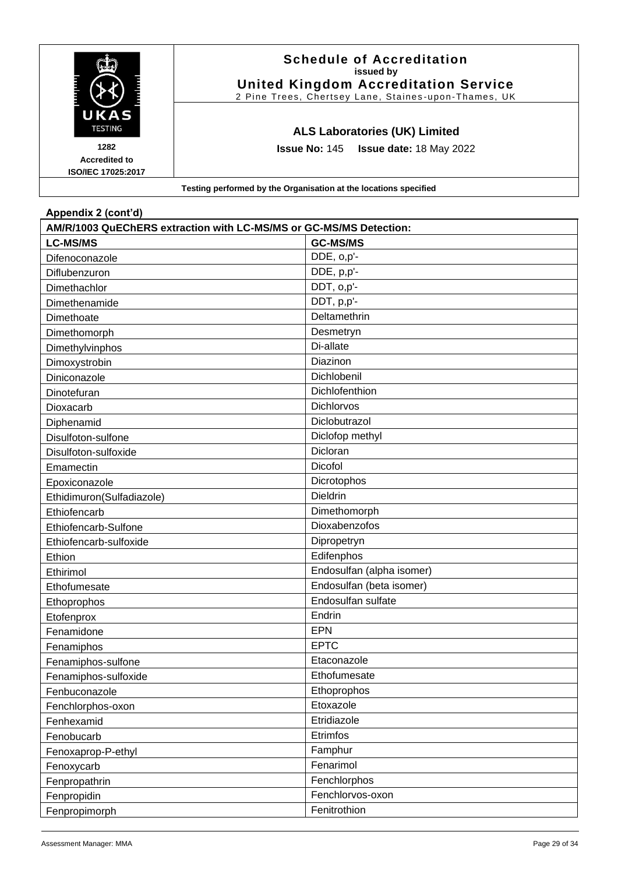![](_page_28_Picture_0.jpeg)

| Appendix 2 (cont d)                                                |                           |  |
|--------------------------------------------------------------------|---------------------------|--|
| AM/R/1003 QuEChERS extraction with LC-MS/MS or GC-MS/MS Detection: |                           |  |
| <b>LC-MS/MS</b>                                                    | <b>GC-MS/MS</b>           |  |
| Difenoconazole                                                     | DDE, o,p'-                |  |
| Diflubenzuron                                                      | DDE, p,p'-                |  |
| Dimethachlor                                                       | DDT, o,p'-                |  |
| Dimethenamide                                                      | DDT, p,p'-                |  |
| Dimethoate                                                         | Deltamethrin              |  |
| Dimethomorph                                                       | Desmetryn                 |  |
| Dimethylvinphos                                                    | Di-allate                 |  |
| Dimoxystrobin                                                      | Diazinon                  |  |
| Diniconazole                                                       | Dichlobenil               |  |
| Dinotefuran                                                        | Dichlofenthion            |  |
| Dioxacarb                                                          | Dichlorvos                |  |
| Diphenamid                                                         | Diclobutrazol             |  |
| Disulfoton-sulfone                                                 | Diclofop methyl           |  |
| Disulfoton-sulfoxide                                               | Dicloran                  |  |
| Emamectin                                                          | Dicofol                   |  |
| Epoxiconazole                                                      | Dicrotophos               |  |
| Ethidimuron(Sulfadiazole)                                          | Dieldrin                  |  |
| Ethiofencarb                                                       | Dimethomorph              |  |
| Ethiofencarb-Sulfone                                               | Dioxabenzofos             |  |
| Ethiofencarb-sulfoxide                                             | Dipropetryn               |  |
| Ethion                                                             | Edifenphos                |  |
| Ethirimol                                                          | Endosulfan (alpha isomer) |  |
| Ethofumesate                                                       | Endosulfan (beta isomer)  |  |
| Ethoprophos                                                        | Endosulfan sulfate        |  |
| Etofenprox                                                         | Endrin                    |  |
| Fenamidone                                                         | <b>EPN</b>                |  |
| Fenamiphos                                                         | <b>EPTC</b>               |  |
| Fenamiphos-sulfone                                                 | Etaconazole               |  |
| Fenamiphos-sulfoxide                                               | Ethofumesate              |  |
| Fenbuconazole                                                      | Ethoprophos               |  |
| Fenchlorphos-oxon                                                  | Etoxazole                 |  |
| Fenhexamid                                                         | Etridiazole               |  |
| Fenobucarb                                                         | Etrimfos                  |  |
| Fenoxaprop-P-ethyl                                                 | Famphur                   |  |
| Fenoxycarb                                                         | Fenarimol                 |  |
| Fenpropathrin                                                      | Fenchlorphos              |  |
| Fenpropidin                                                        | Fenchlorvos-oxon          |  |
| Fenpropimorph                                                      | Fenitrothion              |  |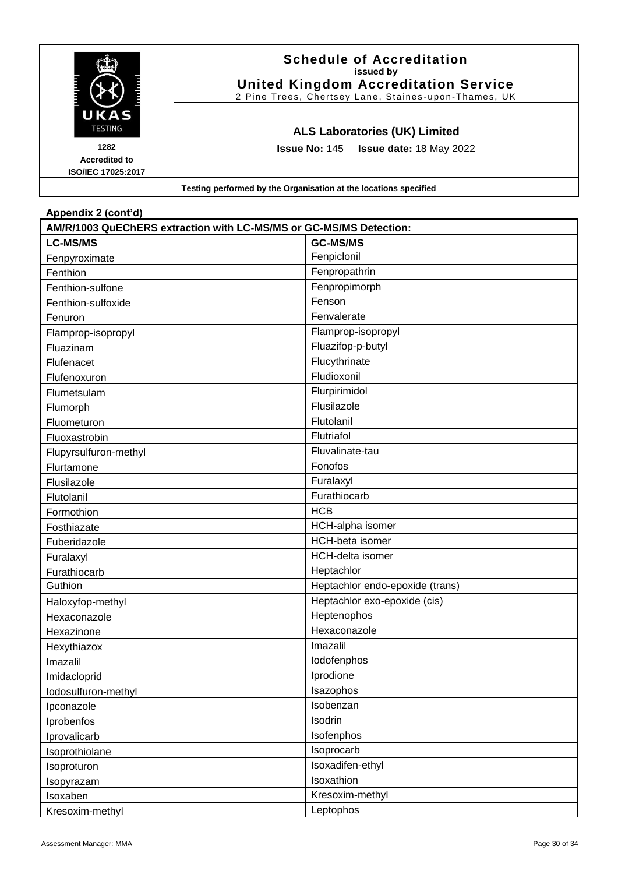|                                                           | <b>Schedule of Accreditation</b><br>issued by<br><b>United Kingdom Accreditation Service</b><br>2 Pine Trees, Chertsey Lane, Staines-upon-Thames, UK |
|-----------------------------------------------------------|------------------------------------------------------------------------------------------------------------------------------------------------------|
| UKAS<br><b>TESTING</b>                                    | <b>ALS Laboratories (UK) Limited</b>                                                                                                                 |
| 1282<br><b>Accredited to</b><br><b>ISO/IEC 17025:2017</b> | <b>Issue No: 145 Issue date: 18 May 2022</b>                                                                                                         |
|                                                           | Testing performed by the Organisation at the locations specified                                                                                     |

| Appendix 2 (cont'd)                                                |                                 |  |
|--------------------------------------------------------------------|---------------------------------|--|
| AM/R/1003 QuEChERS extraction with LC-MS/MS or GC-MS/MS Detection: |                                 |  |
| <b>LC-MS/MS</b>                                                    | <b>GC-MS/MS</b>                 |  |
| Fenpyroximate                                                      | Fenpiclonil                     |  |
| Fenthion                                                           | Fenpropathrin                   |  |
| Fenthion-sulfone                                                   | Fenpropimorph                   |  |
| Fenthion-sulfoxide                                                 | Fenson                          |  |
| Fenuron                                                            | Fenvalerate                     |  |
| Flamprop-isopropyl                                                 | Flamprop-isopropyl              |  |
| Fluazinam                                                          | Fluazifop-p-butyl               |  |
| Flufenacet                                                         | Flucythrinate                   |  |
| Flufenoxuron                                                       | Fludioxonil                     |  |
| Flumetsulam                                                        | Flurpirimidol                   |  |
| Flumorph                                                           | Flusilazole                     |  |
| Fluometuron                                                        | Flutolanil                      |  |
| Fluoxastrobin                                                      | Flutriafol                      |  |
| Flupyrsulfuron-methyl                                              | Fluvalinate-tau                 |  |
| Flurtamone                                                         | Fonofos                         |  |
| Flusilazole                                                        | Furalaxyl                       |  |
| Flutolanil                                                         | Furathiocarb                    |  |
| Formothion                                                         | <b>HCB</b>                      |  |
| Fosthiazate                                                        | HCH-alpha isomer                |  |
| Fuberidazole                                                       | <b>HCH-beta</b> isomer          |  |
| Furalaxyl                                                          | <b>HCH-delta isomer</b>         |  |
| Furathiocarb                                                       | Heptachlor                      |  |
| Guthion                                                            | Heptachlor endo-epoxide (trans) |  |
| Haloxyfop-methyl                                                   | Heptachlor exo-epoxide (cis)    |  |
| Hexaconazole                                                       | Heptenophos                     |  |
| Hexazinone                                                         | Hexaconazole                    |  |
| Hexythiazox                                                        | Imazalil                        |  |
| Imazalil                                                           | lodofenphos                     |  |
| Imidacloprid                                                       | Iprodione                       |  |
| lodosulfuron-methyl                                                | Isazophos                       |  |
| Ipconazole                                                         | Isobenzan                       |  |
| Iprobenfos                                                         | Isodrin                         |  |
| Iprovalicarb                                                       | Isofenphos                      |  |
| Isoprothiolane                                                     | Isoprocarb                      |  |
| Isoproturon                                                        | Isoxadifen-ethyl                |  |
| Isopyrazam                                                         | Isoxathion                      |  |
| Isoxaben                                                           | Kresoxim-methyl                 |  |
| Kresoxim-methyl                                                    | Leptophos                       |  |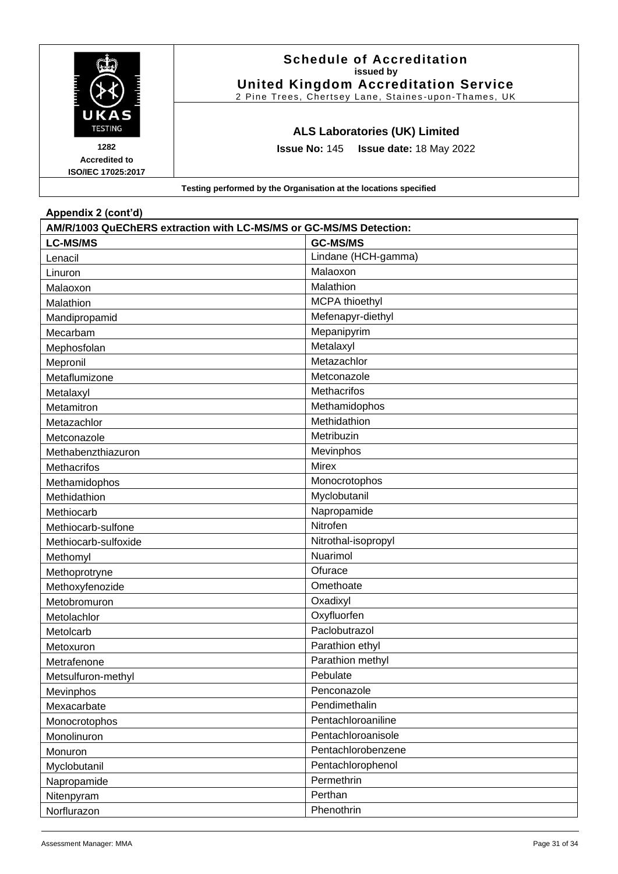|                                                    | <b>Schedule of Accreditation</b><br>issued by<br><b>United Kingdom Accreditation Service</b><br>2 Pine Trees, Chertsey Lane, Staines-upon-Thames, UK |
|----------------------------------------------------|------------------------------------------------------------------------------------------------------------------------------------------------------|
| UKAS<br><b>TESTING</b>                             | <b>ALS Laboratories (UK) Limited</b>                                                                                                                 |
| 1282<br><b>Accredited to</b><br>ISO/IEC 17025:2017 | <b>Issue No: 145 Issue date: 18 May 2022</b>                                                                                                         |
|                                                    | Testing performed by the Organisation at the locations specified                                                                                     |

| Appendix 2 (cont'd)                                                |                       |  |
|--------------------------------------------------------------------|-----------------------|--|
| AM/R/1003 QuEChERS extraction with LC-MS/MS or GC-MS/MS Detection: |                       |  |
| <b>LC-MS/MS</b>                                                    | <b>GC-MS/MS</b>       |  |
| Lenacil                                                            | Lindane (HCH-gamma)   |  |
| Linuron                                                            | Malaoxon              |  |
| Malaoxon                                                           | Malathion             |  |
| Malathion                                                          | <b>MCPA</b> thioethyl |  |
| Mandipropamid                                                      | Mefenapyr-diethyl     |  |
| Mecarbam                                                           | Mepanipyrim           |  |
| Mephosfolan                                                        | Metalaxyl             |  |
| Mepronil                                                           | Metazachlor           |  |
| Metaflumizone                                                      | Metconazole           |  |
| Metalaxyl                                                          | Methacrifos           |  |
| Metamitron                                                         | Methamidophos         |  |
| Metazachlor                                                        | Methidathion          |  |
| Metconazole                                                        | Metribuzin            |  |
| Methabenzthiazuron                                                 | Mevinphos             |  |
| Methacrifos                                                        | <b>Mirex</b>          |  |
| Methamidophos                                                      | Monocrotophos         |  |
| Methidathion                                                       | Myclobutanil          |  |
| Methiocarb                                                         | Napropamide           |  |
| Methiocarb-sulfone                                                 | Nitrofen              |  |
| Methiocarb-sulfoxide                                               | Nitrothal-isopropyl   |  |
| Methomyl                                                           | Nuarimol              |  |
| Methoprotryne                                                      | Ofurace               |  |
| Methoxyfenozide                                                    | Omethoate             |  |
| Metobromuron                                                       | Oxadixyl              |  |
| Metolachlor                                                        | Oxyfluorfen           |  |
| Metolcarb                                                          | Paclobutrazol         |  |
| Metoxuron                                                          | Parathion ethyl       |  |
| Metrafenone                                                        | Parathion methyl      |  |
| Metsulfuron-methyl                                                 | Pebulate              |  |
| Mevinphos                                                          | Penconazole           |  |
| Mexacarbate                                                        | Pendimethalin         |  |
| Monocrotophos                                                      | Pentachloroaniline    |  |
| Monolinuron                                                        | Pentachloroanisole    |  |
| Monuron                                                            | Pentachlorobenzene    |  |
| Myclobutanil                                                       | Pentachlorophenol     |  |
| Napropamide                                                        | Permethrin            |  |
| Nitenpyram                                                         | Perthan               |  |
| Norflurazon                                                        | Phenothrin            |  |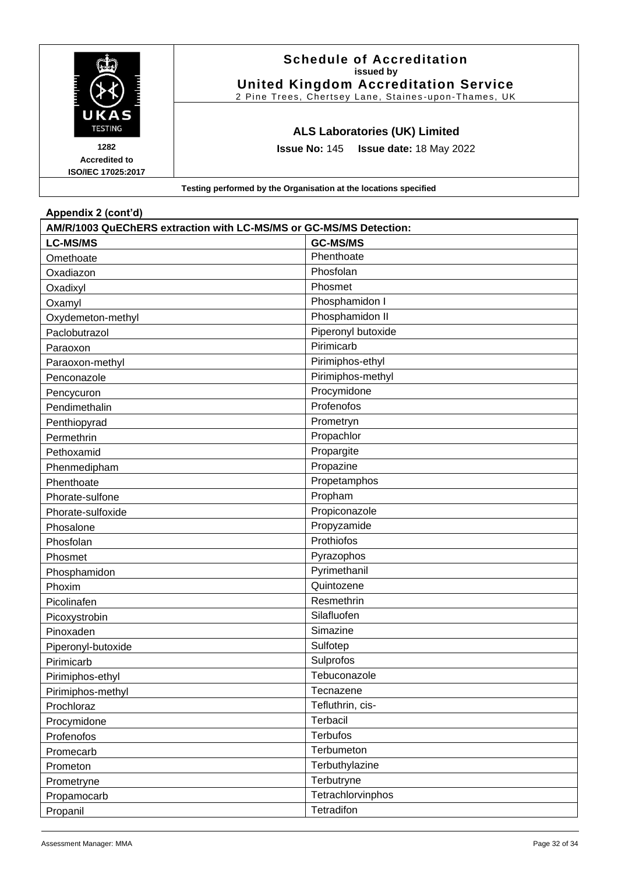|                                                           | <b>Schedule of Accreditation</b><br>issued by<br><b>United Kingdom Accreditation Service</b><br>2 Pine Trees, Chertsey Lane, Staines-upon-Thames, UK |
|-----------------------------------------------------------|------------------------------------------------------------------------------------------------------------------------------------------------------|
| UKAS<br><b>TESTING</b>                                    | <b>ALS Laboratories (UK) Limited</b>                                                                                                                 |
| 1282<br><b>Accredited to</b><br><b>ISO/IEC 17025:2017</b> | <b>Issue No: 145 Issue date: 18 May 2022</b>                                                                                                         |
|                                                           | Testing performed by the Organisation at the locations specified                                                                                     |

| Appendix 2 (cont'd)                                                |                    |  |
|--------------------------------------------------------------------|--------------------|--|
| AM/R/1003 QuEChERS extraction with LC-MS/MS or GC-MS/MS Detection: |                    |  |
| <b>LC-MS/MS</b>                                                    | <b>GC-MS/MS</b>    |  |
| Omethoate                                                          | Phenthoate         |  |
| Oxadiazon                                                          | Phosfolan          |  |
| Oxadixyl                                                           | Phosmet            |  |
| Oxamyl                                                             | Phosphamidon I     |  |
| Oxydemeton-methyl                                                  | Phosphamidon II    |  |
| Paclobutrazol                                                      | Piperonyl butoxide |  |
| Paraoxon                                                           | Pirimicarb         |  |
| Paraoxon-methyl                                                    | Pirimiphos-ethyl   |  |
| Penconazole                                                        | Pirimiphos-methyl  |  |
| Pencycuron                                                         | Procymidone        |  |
| Pendimethalin                                                      | Profenofos         |  |
| Penthiopyrad                                                       | Prometryn          |  |
| Permethrin                                                         | Propachlor         |  |
| Pethoxamid                                                         | Propargite         |  |
| Phenmedipham                                                       | Propazine          |  |
| Phenthoate                                                         | Propetamphos       |  |
| Phorate-sulfone                                                    | Propham            |  |
| Phorate-sulfoxide                                                  | Propiconazole      |  |
| Phosalone                                                          | Propyzamide        |  |
| Phosfolan                                                          | Prothiofos         |  |
| Phosmet                                                            | Pyrazophos         |  |
| Phosphamidon                                                       | Pyrimethanil       |  |
| Phoxim                                                             | Quintozene         |  |
| Picolinafen                                                        | Resmethrin         |  |
| Picoxystrobin                                                      | Silafluofen        |  |
| Pinoxaden                                                          | Simazine           |  |
| Piperonyl-butoxide                                                 | Sulfotep           |  |
| Pirimicarb                                                         | Sulprofos          |  |
| Pirimiphos-ethyl                                                   | Tebuconazole       |  |
| Pirimiphos-methyl                                                  | Tecnazene          |  |
| Prochloraz                                                         | Tefluthrin, cis-   |  |
| Procymidone                                                        | Terbacil           |  |
| Profenofos                                                         | <b>Terbufos</b>    |  |
| Promecarb                                                          | Terbumeton         |  |
| Prometon                                                           | Terbuthylazine     |  |
| Prometryne                                                         | Terbutryne         |  |
| Propamocarb                                                        | Tetrachlorvinphos  |  |
| Propanil                                                           | Tetradifon         |  |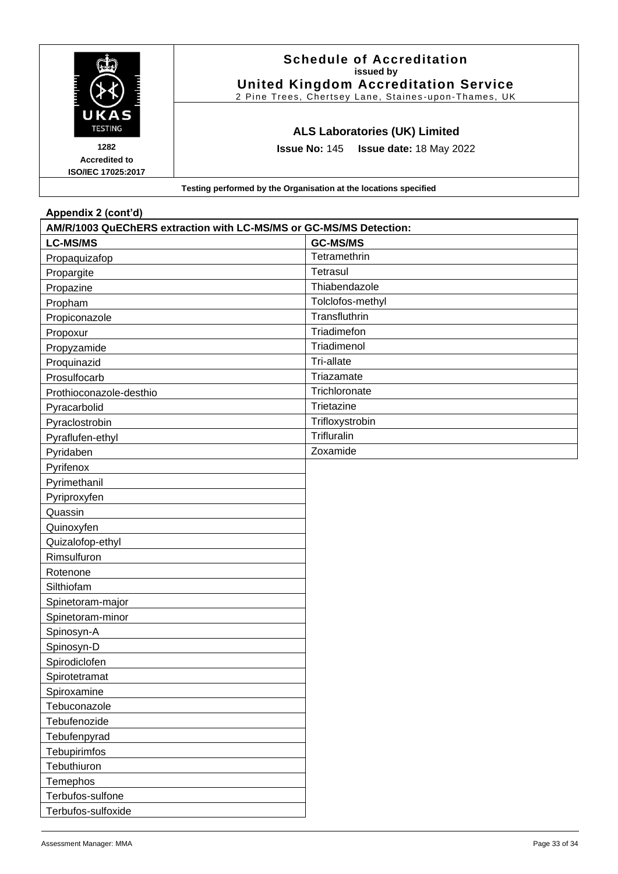|                                                           | <b>Schedule of Accreditation</b><br>issued by<br><b>United Kingdom Accreditation Service</b><br>2 Pine Trees, Chertsey Lane, Staines-upon-Thames, UK |  |
|-----------------------------------------------------------|------------------------------------------------------------------------------------------------------------------------------------------------------|--|
| <b>UKAS</b><br><b>TESTING</b>                             | <b>ALS Laboratories (UK) Limited</b>                                                                                                                 |  |
| 1282<br><b>Accredited to</b><br><b>ISO/IEC 17025:2017</b> | <b>Issue No: 145 Issue date: 18 May 2022</b>                                                                                                         |  |
|                                                           | Testing performed by the Organisation at the locations specified                                                                                     |  |

| Appendix 2 (cont'd)                                                |                  |  |
|--------------------------------------------------------------------|------------------|--|
| AM/R/1003 QuEChERS extraction with LC-MS/MS or GC-MS/MS Detection: |                  |  |
| <b>LC-MS/MS</b>                                                    | <b>GC-MS/MS</b>  |  |
| Propaquizafop                                                      | Tetramethrin     |  |
| Propargite                                                         | Tetrasul         |  |
| Propazine                                                          | Thiabendazole    |  |
| Propham                                                            | Tolclofos-methyl |  |
| Propiconazole                                                      | Transfluthrin    |  |
| Propoxur                                                           | Triadimefon      |  |
| Propyzamide                                                        | Triadimenol      |  |
| Proquinazid                                                        | Tri-allate       |  |
| Prosulfocarb                                                       | Triazamate       |  |
| Prothioconazole-desthio                                            | Trichloronate    |  |
| Pyracarbolid                                                       | Trietazine       |  |
| Pyraclostrobin                                                     | Trifloxystrobin  |  |
| Pyraflufen-ethyl                                                   | Trifluralin      |  |
| Pyridaben                                                          | Zoxamide         |  |
| Pyrifenox                                                          |                  |  |
| Pyrimethanil                                                       |                  |  |
| Pyriproxyfen                                                       |                  |  |
| Quassin                                                            |                  |  |
| Quinoxyfen                                                         |                  |  |
| Quizalofop-ethyl                                                   |                  |  |
| Rimsulfuron                                                        |                  |  |
| Rotenone                                                           |                  |  |
| Silthiofam                                                         |                  |  |
| Spinetoram-major                                                   |                  |  |
| Spinetoram-minor                                                   |                  |  |
| Spinosyn-A                                                         |                  |  |
| Spinosyn-D                                                         |                  |  |
| Spirodiclofen                                                      |                  |  |
| Spirotetramat                                                      |                  |  |
| Spiroxamine                                                        |                  |  |
| Tebuconazole                                                       |                  |  |
| Tebufenozide                                                       |                  |  |
| Tebufenpyrad                                                       |                  |  |
| Tebupirimfos                                                       |                  |  |
| Tebuthiuron                                                        |                  |  |
| Temephos                                                           |                  |  |
| Terbufos-sulfone                                                   |                  |  |
| Terbufos-sulfoxide                                                 |                  |  |